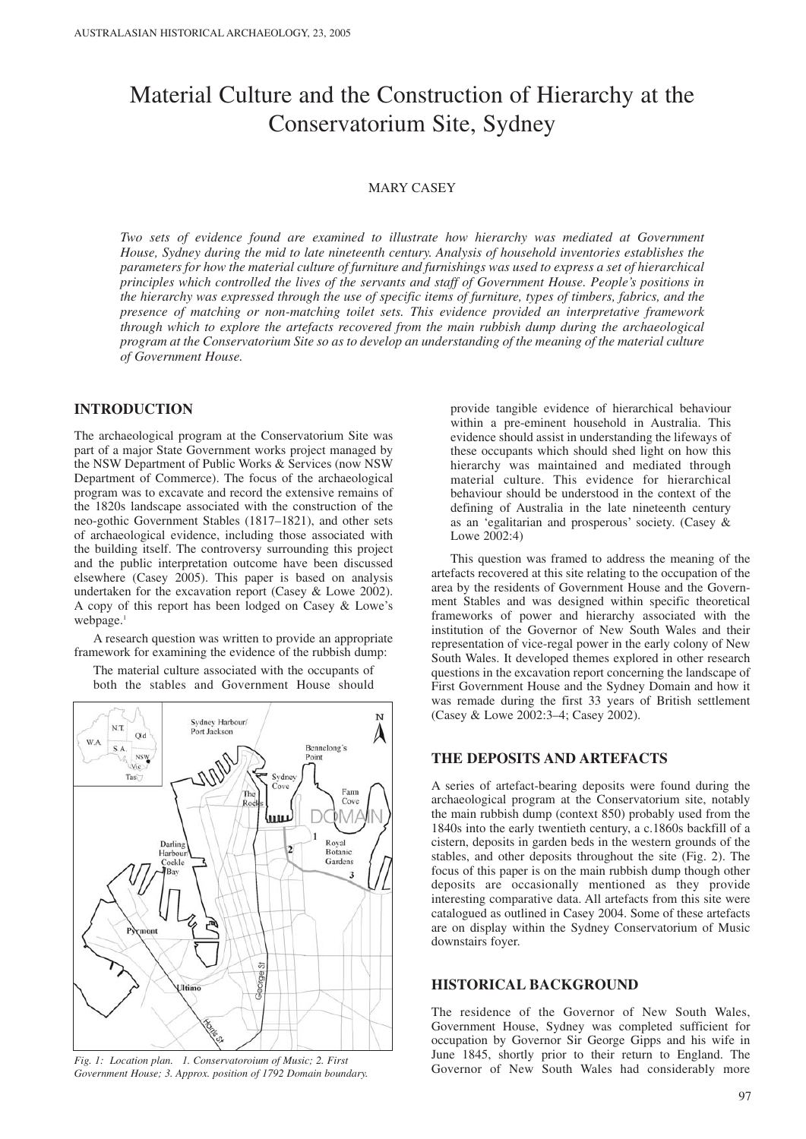# Material Culture and the Construction of Hierarchy at the Conservatorium Site, Sydney

# MARY CASEY

*Two sets of evidence found are examined to illustrate how hierarchy was mediated at Government House, Sydney during the mid to late nineteenth century. Analysis of household inventories establishes the parameters for how the material culture of furniture and furnishings was used to express a set of hierarchical principles which controlled the lives of the servants and staff of Government House. People's positions in the hierarchy was expressed through the use of specific items of furniture, types of timbers, fabrics, and the presence of matching or non-matching toilet sets. This evidence provided an interpretative framework through which to explore the artefacts recovered from the main rubbish dump during the archaeological program at the Conservatorium Site so as to develop an understanding of the meaning of the material culture of Government House.* 

# **INTRODUCTION**

The archaeological program at the Conservatorium Site was part of a major State Government works project managed by the NSW Department of Public Works & Services (now NSW Department of Commerce). The focus of the archaeological program was to excavate and record the extensive remains of the 1820s landscape associated with the construction of the neo-gothic Government Stables (1817–1821), and other sets of archaeological evidence, including those associated with the building itself. The controversy surrounding this project and the public interpretation outcome have been discussed elsewhere (Casey 2005). This paper is based on analysis undertaken for the excavation report (Casey & Lowe 2002). A copy of this report has been lodged on Casey & Lowe's webpage.<sup>1</sup>

A research question was written to provide an appropriate framework for examining the evidence of the rubbish dump:

The material culture associated with the occupants of both the stables and Government House should



*Fig. 1: Location plan. 1. Conservatoroium of Music; 2. First Government House; 3. Approx. position of 1792 Domain boundary.*

provide tangible evidence of hierarchical behaviour within a pre-eminent household in Australia. This evidence should assist in understanding the lifeways of these occupants which should shed light on how this hierarchy was maintained and mediated through material culture. This evidence for hierarchical behaviour should be understood in the context of the defining of Australia in the late nineteenth century as an 'egalitarian and prosperous' society. (Casey & Lowe 2002:4)

This question was framed to address the meaning of the artefacts recovered at this site relating to the occupation of the area by the residents of Government House and the Government Stables and was designed within specific theoretical frameworks of power and hierarchy associated with the institution of the Governor of New South Wales and their representation of vice-regal power in the early colony of New South Wales. It developed themes explored in other research questions in the excavation report concerning the landscape of First Government House and the Sydney Domain and how it was remade during the first 33 years of British settlement (Casey & Lowe 2002:3–4; Casey 2002).

# **THE DEPOSITS AND ARTEFACTS**

A series of artefact-bearing deposits were found during the archaeological program at the Conservatorium site, notably the main rubbish dump (context 850) probably used from the 1840s into the early twentieth century, a c.1860s backfill of a cistern, deposits in garden beds in the western grounds of the stables, and other deposits throughout the site (Fig. 2). The focus of this paper is on the main rubbish dump though other deposits are occasionally mentioned as they provide interesting comparative data. All artefacts from this site were catalogued as outlined in Casey 2004. Some of these artefacts are on display within the Sydney Conservatorium of Music downstairs foyer.

# **HISTORICAL BACKGROUND**

The residence of the Governor of New South Wales, Government House, Sydney was completed sufficient for occupation by Governor Sir George Gipps and his wife in June 1845, shortly prior to their return to England. The Governor of New South Wales had considerably more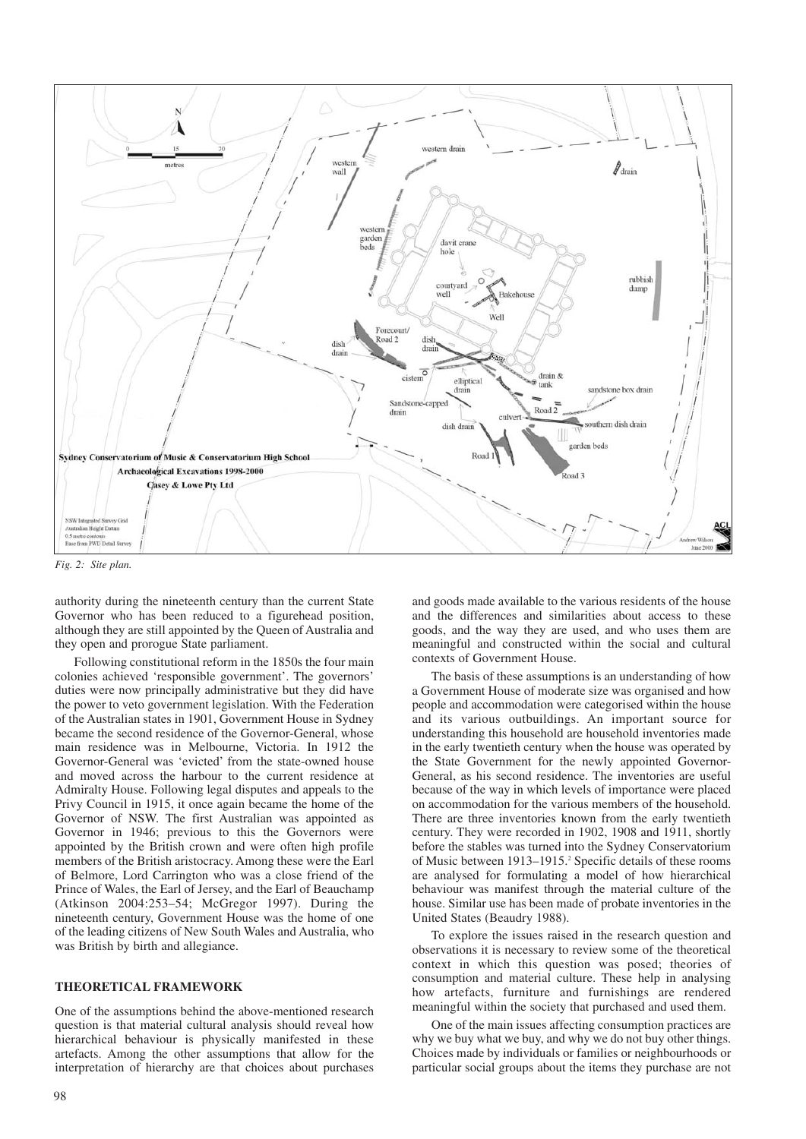

*Fig. 2: Site plan.* 

authority during the nineteenth century than the current State Governor who has been reduced to a figurehead position, although they are still appointed by the Queen of Australia and they open and prorogue State parliament.

Following constitutional reform in the 1850s the four main colonies achieved 'responsible government'. The governors' duties were now principally administrative but they did have the power to veto government legislation. With the Federation of the Australian states in 1901, Government House in Sydney became the second residence of the Governor-General, whose main residence was in Melbourne, Victoria. In 1912 the Governor-General was 'evicted' from the state-owned house and moved across the harbour to the current residence at Admiralty House. Following legal disputes and appeals to the Privy Council in 1915, it once again became the home of the Governor of NSW. The first Australian was appointed as Governor in 1946; previous to this the Governors were appointed by the British crown and were often high profile members of the British aristocracy. Among these were the Earl of Belmore, Lord Carrington who was a close friend of the Prince of Wales, the Earl of Jersey, and the Earl of Beauchamp (Atkinson 2004:253–54; McGregor 1997). During the nineteenth century, Government House was the home of one of the leading citizens of New South Wales and Australia, who was British by birth and allegiance.

# **THEORETICAL FRAMEWORK**

One of the assumptions behind the above-mentioned research question is that material cultural analysis should reveal how hierarchical behaviour is physically manifested in these artefacts. Among the other assumptions that allow for the interpretation of hierarchy are that choices about purchases

and goods made available to the various residents of the house and the differences and similarities about access to these goods, and the way they are used, and who uses them are meaningful and constructed within the social and cultural contexts of Government House.

The basis of these assumptions is an understanding of how a Government House of moderate size was organised and how people and accommodation were categorised within the house and its various outbuildings. An important source for understanding this household are household inventories made in the early twentieth century when the house was operated by the State Government for the newly appointed Governor-General, as his second residence. The inventories are useful because of the way in which levels of importance were placed on accommodation for the various members of the household. There are three inventories known from the early twentieth century. They were recorded in 1902, 1908 and 1911, shortly before the stables was turned into the Sydney Conservatorium of Music between 1913–1915.<sup>2</sup> Specific details of these rooms are analysed for formulating a model of how hierarchical behaviour was manifest through the material culture of the house. Similar use has been made of probate inventories in the United States (Beaudry 1988).

To explore the issues raised in the research question and observations it is necessary to review some of the theoretical context in which this question was posed; theories of consumption and material culture. These help in analysing how artefacts, furniture and furnishings are rendered meaningful within the society that purchased and used them.

One of the main issues affecting consumption practices are why we buy what we buy, and why we do not buy other things. Choices made by individuals or families or neighbourhoods or particular social groups about the items they purchase are not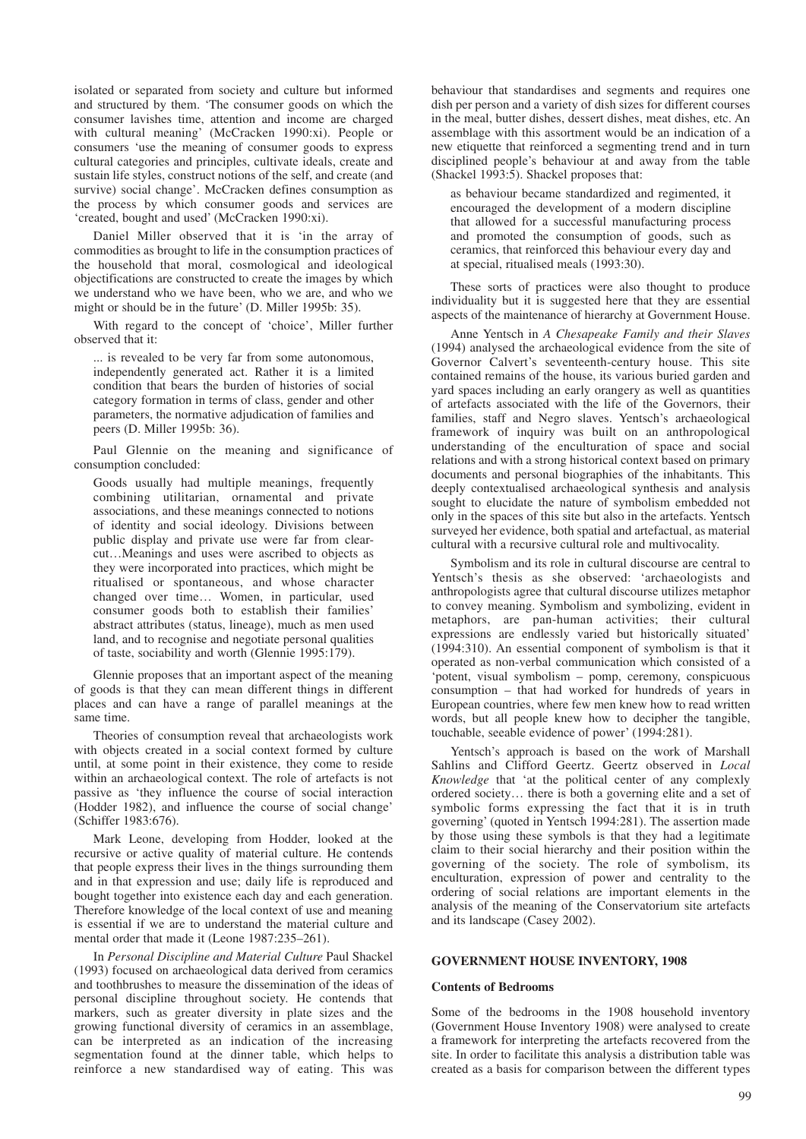isolated or separated from society and culture but informed and structured by them. 'The consumer goods on which the consumer lavishes time, attention and income are charged with cultural meaning' (McCracken 1990:xi). People or consumers 'use the meaning of consumer goods to express cultural categories and principles, cultivate ideals, create and sustain life styles, construct notions of the self, and create (and survive) social change'. McCracken defines consumption as the process by which consumer goods and services are 'created, bought and used' (McCracken 1990:xi).

Daniel Miller observed that it is 'in the array of commodities as brought to life in the consumption practices of the household that moral, cosmological and ideological objectifications are constructed to create the images by which we understand who we have been, who we are, and who we might or should be in the future' (D. Miller 1995b: 35).

With regard to the concept of 'choice', Miller further observed that it:

... is revealed to be very far from some autonomous, independently generated act. Rather it is a limited condition that bears the burden of histories of social category formation in terms of class, gender and other parameters, the normative adjudication of families and peers (D. Miller 1995b: 36).

Paul Glennie on the meaning and significance of consumption concluded:

Goods usually had multiple meanings, frequently combining utilitarian, ornamental and private associations, and these meanings connected to notions of identity and social ideology. Divisions between public display and private use were far from clearcut…Meanings and uses were ascribed to objects as they were incorporated into practices, which might be ritualised or spontaneous, and whose character changed over time… Women, in particular, used consumer goods both to establish their families' abstract attributes (status, lineage), much as men used land, and to recognise and negotiate personal qualities of taste, sociability and worth (Glennie 1995:179).

Glennie proposes that an important aspect of the meaning of goods is that they can mean different things in different places and can have a range of parallel meanings at the same time.

Theories of consumption reveal that archaeologists work with objects created in a social context formed by culture until, at some point in their existence, they come to reside within an archaeological context. The role of artefacts is not passive as 'they influence the course of social interaction (Hodder 1982), and influence the course of social change' (Schiffer 1983:676).

Mark Leone, developing from Hodder, looked at the recursive or active quality of material culture. He contends that people express their lives in the things surrounding them and in that expression and use; daily life is reproduced and bought together into existence each day and each generation. Therefore knowledge of the local context of use and meaning is essential if we are to understand the material culture and mental order that made it (Leone 1987:235–261).

In *Personal Discipline and Material Culture* Paul Shackel (1993) focused on archaeological data derived from ceramics and toothbrushes to measure the dissemination of the ideas of personal discipline throughout society. He contends that markers, such as greater diversity in plate sizes and the growing functional diversity of ceramics in an assemblage, can be interpreted as an indication of the increasing segmentation found at the dinner table, which helps to reinforce a new standardised way of eating. This was

behaviour that standardises and segments and requires one dish per person and a variety of dish sizes for different courses in the meal, butter dishes, dessert dishes, meat dishes, etc. An assemblage with this assortment would be an indication of a new etiquette that reinforced a segmenting trend and in turn disciplined people's behaviour at and away from the table (Shackel 1993:5). Shackel proposes that:

as behaviour became standardized and regimented, it encouraged the development of a modern discipline that allowed for a successful manufacturing process and promoted the consumption of goods, such as ceramics, that reinforced this behaviour every day and at special, ritualised meals (1993:30).

These sorts of practices were also thought to produce individuality but it is suggested here that they are essential aspects of the maintenance of hierarchy at Government House.

Anne Yentsch in *A Chesapeake Family and their Slaves* (1994) analysed the archaeological evidence from the site of Governor Calvert's seventeenth-century house. This site contained remains of the house, its various buried garden and yard spaces including an early orangery as well as quantities of artefacts associated with the life of the Governors, their families, staff and Negro slaves. Yentsch's archaeological framework of inquiry was built on an anthropological understanding of the enculturation of space and social relations and with a strong historical context based on primary documents and personal biographies of the inhabitants. This deeply contextualised archaeological synthesis and analysis sought to elucidate the nature of symbolism embedded not only in the spaces of this site but also in the artefacts. Yentsch surveyed her evidence, both spatial and artefactual, as material cultural with a recursive cultural role and multivocality.

Symbolism and its role in cultural discourse are central to Yentsch's thesis as she observed: 'archaeologists and anthropologists agree that cultural discourse utilizes metaphor to convey meaning. Symbolism and symbolizing, evident in metaphors, are pan-human activities; their cultural expressions are endlessly varied but historically situated' (1994:310). An essential component of symbolism is that it operated as non-verbal communication which consisted of a 'potent, visual symbolism – pomp, ceremony, conspicuous consumption – that had worked for hundreds of years in European countries, where few men knew how to read written words, but all people knew how to decipher the tangible, touchable, seeable evidence of power' (1994:281).

Yentsch's approach is based on the work of Marshall Sahlins and Clifford Geertz. Geertz observed in *Local Knowledge* that 'at the political center of any complexly ordered society… there is both a governing elite and a set of symbolic forms expressing the fact that it is in truth governing' (quoted in Yentsch 1994:281). The assertion made by those using these symbols is that they had a legitimate claim to their social hierarchy and their position within the governing of the society. The role of symbolism, its enculturation, expression of power and centrality to the ordering of social relations are important elements in the analysis of the meaning of the Conservatorium site artefacts and its landscape (Casey 2002).

## **GOVERNMENT HOUSE INVENTORY, 1908**

#### **Contents of Bedrooms**

Some of the bedrooms in the 1908 household inventory (Government House Inventory 1908) were analysed to create a framework for interpreting the artefacts recovered from the site. In order to facilitate this analysis a distribution table was created as a basis for comparison between the different types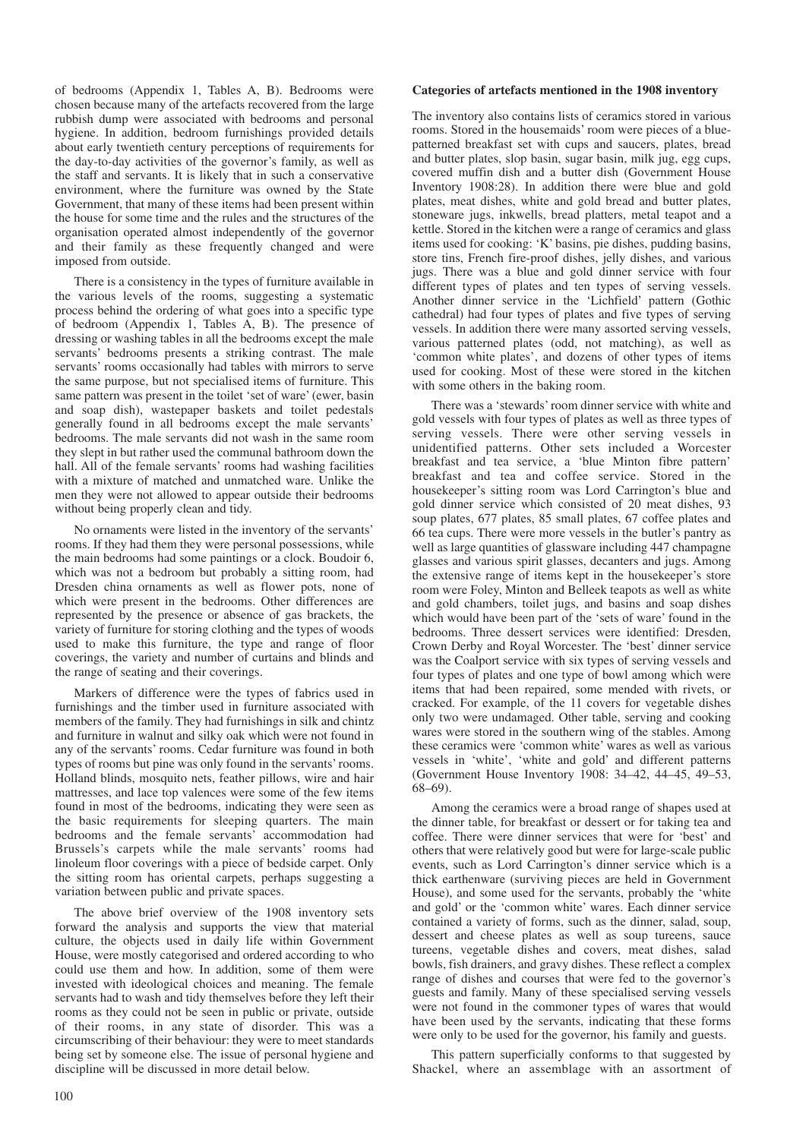of bedrooms (Appendix 1, Tables A, B). Bedrooms were chosen because many of the artefacts recovered from the large rubbish dump were associated with bedrooms and personal hygiene. In addition, bedroom furnishings provided details about early twentieth century perceptions of requirements for the day-to-day activities of the governor's family, as well as the staff and servants. It is likely that in such a conservative environment, where the furniture was owned by the State Government, that many of these items had been present within the house for some time and the rules and the structures of the organisation operated almost independently of the governor and their family as these frequently changed and were imposed from outside.

There is a consistency in the types of furniture available in the various levels of the rooms, suggesting a systematic process behind the ordering of what goes into a specific type of bedroom (Appendix 1, Tables A, B). The presence of dressing or washing tables in all the bedrooms except the male servants' bedrooms presents a striking contrast. The male servants' rooms occasionally had tables with mirrors to serve the same purpose, but not specialised items of furniture. This same pattern was present in the toilet 'set of ware' (ewer, basin and soap dish), wastepaper baskets and toilet pedestals generally found in all bedrooms except the male servants' bedrooms. The male servants did not wash in the same room they slept in but rather used the communal bathroom down the hall. All of the female servants' rooms had washing facilities with a mixture of matched and unmatched ware. Unlike the men they were not allowed to appear outside their bedrooms without being properly clean and tidy.

No ornaments were listed in the inventory of the servants' rooms. If they had them they were personal possessions, while the main bedrooms had some paintings or a clock. Boudoir 6, which was not a bedroom but probably a sitting room, had Dresden china ornaments as well as flower pots, none of which were present in the bedrooms. Other differences are represented by the presence or absence of gas brackets, the variety of furniture for storing clothing and the types of woods used to make this furniture, the type and range of floor coverings, the variety and number of curtains and blinds and the range of seating and their coverings.

Markers of difference were the types of fabrics used in furnishings and the timber used in furniture associated with members of the family. They had furnishings in silk and chintz and furniture in walnut and silky oak which were not found in any of the servants' rooms. Cedar furniture was found in both types of rooms but pine was only found in the servants' rooms. Holland blinds, mosquito nets, feather pillows, wire and hair mattresses, and lace top valences were some of the few items found in most of the bedrooms, indicating they were seen as the basic requirements for sleeping quarters. The main bedrooms and the female servants' accommodation had Brussels's carpets while the male servants' rooms had linoleum floor coverings with a piece of bedside carpet. Only the sitting room has oriental carpets, perhaps suggesting a variation between public and private spaces.

The above brief overview of the 1908 inventory sets forward the analysis and supports the view that material culture, the objects used in daily life within Government House, were mostly categorised and ordered according to who could use them and how. In addition, some of them were invested with ideological choices and meaning. The female servants had to wash and tidy themselves before they left their rooms as they could not be seen in public or private, outside of their rooms, in any state of disorder. This was a circumscribing of their behaviour: they were to meet standards being set by someone else. The issue of personal hygiene and discipline will be discussed in more detail below.

## **Categories of artefacts mentioned in the 1908 inventory**

The inventory also contains lists of ceramics stored in various rooms. Stored in the housemaids' room were pieces of a bluepatterned breakfast set with cups and saucers, plates, bread and butter plates, slop basin, sugar basin, milk jug, egg cups, covered muffin dish and a butter dish (Government House Inventory 1908:28). In addition there were blue and gold plates, meat dishes, white and gold bread and butter plates, stoneware jugs, inkwells, bread platters, metal teapot and a kettle. Stored in the kitchen were a range of ceramics and glass items used for cooking: 'K' basins, pie dishes, pudding basins, store tins, French fire-proof dishes, jelly dishes, and various jugs. There was a blue and gold dinner service with four different types of plates and ten types of serving vessels. Another dinner service in the 'Lichfield' pattern (Gothic cathedral) had four types of plates and five types of serving vessels. In addition there were many assorted serving vessels, various patterned plates (odd, not matching), as well as 'common white plates', and dozens of other types of items used for cooking. Most of these were stored in the kitchen with some others in the baking room.

There was a 'stewards' room dinner service with white and gold vessels with four types of plates as well as three types of serving vessels. There were other serving vessels in unidentified patterns. Other sets included a Worcester breakfast and tea service, a 'blue Minton fibre pattern' breakfast and tea and coffee service. Stored in the housekeeper's sitting room was Lord Carrington's blue and gold dinner service which consisted of 20 meat dishes, 93 soup plates, 677 plates, 85 small plates, 67 coffee plates and 66 tea cups. There were more vessels in the butler's pantry as well as large quantities of glassware including 447 champagne glasses and various spirit glasses, decanters and jugs. Among the extensive range of items kept in the housekeeper's store room were Foley, Minton and Belleek teapots as well as white and gold chambers, toilet jugs, and basins and soap dishes which would have been part of the 'sets of ware' found in the bedrooms. Three dessert services were identified: Dresden, Crown Derby and Royal Worcester. The 'best' dinner service was the Coalport service with six types of serving vessels and four types of plates and one type of bowl among which were items that had been repaired, some mended with rivets, or cracked. For example, of the 11 covers for vegetable dishes only two were undamaged. Other table, serving and cooking wares were stored in the southern wing of the stables. Among these ceramics were 'common white' wares as well as various vessels in 'white', 'white and gold' and different patterns (Government House Inventory 1908: 34–42, 44–45, 49–53, 68–69).

Among the ceramics were a broad range of shapes used at the dinner table, for breakfast or dessert or for taking tea and coffee. There were dinner services that were for 'best' and others that were relatively good but were for large-scale public events, such as Lord Carrington's dinner service which is a thick earthenware (surviving pieces are held in Government House), and some used for the servants, probably the 'white and gold' or the 'common white' wares. Each dinner service contained a variety of forms, such as the dinner, salad, soup, dessert and cheese plates as well as soup tureens, sauce tureens, vegetable dishes and covers, meat dishes, salad bowls, fish drainers, and gravy dishes. These reflect a complex range of dishes and courses that were fed to the governor's guests and family. Many of these specialised serving vessels were not found in the commoner types of wares that would have been used by the servants, indicating that these forms were only to be used for the governor, his family and guests.

This pattern superficially conforms to that suggested by Shackel, where an assemblage with an assortment of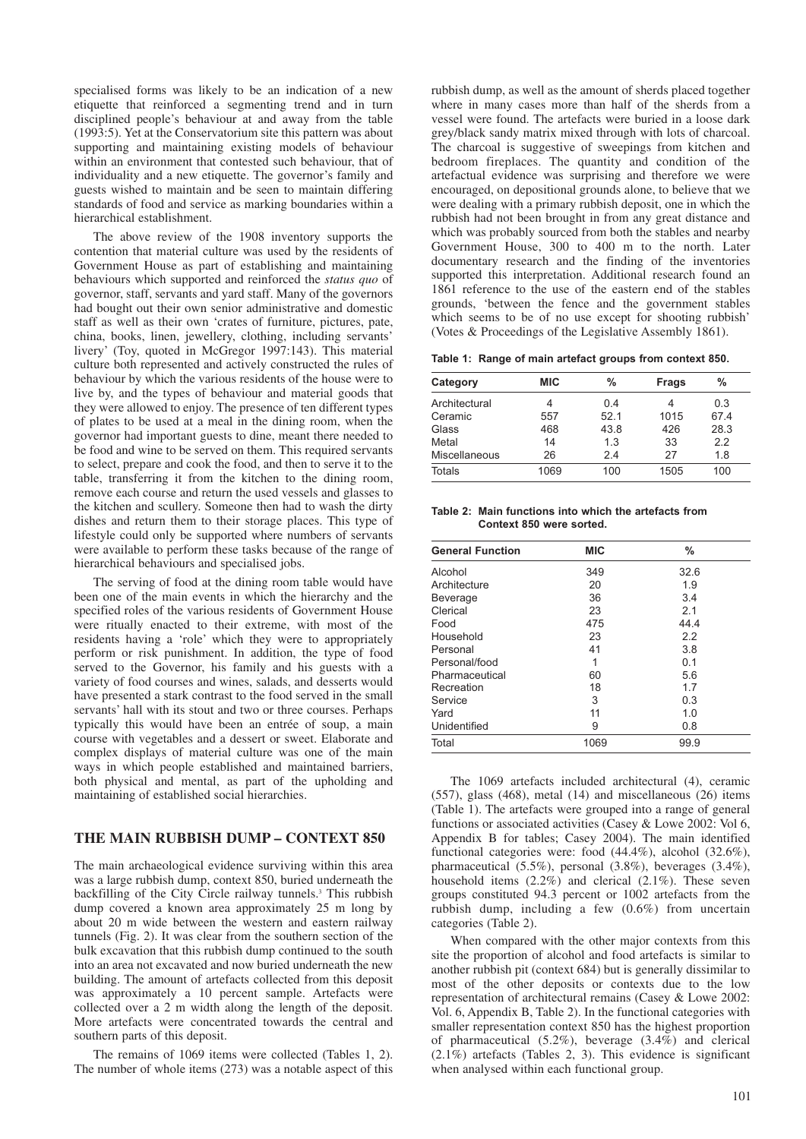specialised forms was likely to be an indication of a new etiquette that reinforced a segmenting trend and in turn disciplined people's behaviour at and away from the table (1993:5). Yet at the Conservatorium site this pattern was about supporting and maintaining existing models of behaviour within an environment that contested such behaviour, that of individuality and a new etiquette. The governor's family and guests wished to maintain and be seen to maintain differing standards of food and service as marking boundaries within a hierarchical establishment.

The above review of the 1908 inventory supports the contention that material culture was used by the residents of Government House as part of establishing and maintaining behaviours which supported and reinforced the *status quo* of governor, staff, servants and yard staff. Many of the governors had bought out their own senior administrative and domestic staff as well as their own 'crates of furniture, pictures, pate, china, books, linen, jewellery, clothing, including servants' livery' (Toy, quoted in McGregor 1997:143). This material culture both represented and actively constructed the rules of behaviour by which the various residents of the house were to live by, and the types of behaviour and material goods that they were allowed to enjoy. The presence of ten different types of plates to be used at a meal in the dining room, when the governor had important guests to dine, meant there needed to be food and wine to be served on them. This required servants to select, prepare and cook the food, and then to serve it to the table, transferring it from the kitchen to the dining room, remove each course and return the used vessels and glasses to the kitchen and scullery. Someone then had to wash the dirty dishes and return them to their storage places. This type of lifestyle could only be supported where numbers of servants were available to perform these tasks because of the range of hierarchical behaviours and specialised jobs.

The serving of food at the dining room table would have been one of the main events in which the hierarchy and the specified roles of the various residents of Government House were ritually enacted to their extreme, with most of the residents having a 'role' which they were to appropriately perform or risk punishment. In addition, the type of food served to the Governor, his family and his guests with a variety of food courses and wines, salads, and desserts would have presented a stark contrast to the food served in the small servants' hall with its stout and two or three courses. Perhaps typically this would have been an entrée of soup, a main course with vegetables and a dessert or sweet. Elaborate and complex displays of material culture was one of the main ways in which people established and maintained barriers, both physical and mental, as part of the upholding and maintaining of established social hierarchies.

# **THE MAIN RUBBISH DUMP – CONTEXT 850**

The main archaeological evidence surviving within this area was a large rubbish dump, context 850, buried underneath the backfilling of the City Circle railway tunnels.<sup>3</sup> This rubbish dump covered a known area approximately 25 m long by about 20 m wide between the western and eastern railway tunnels (Fig. 2). It was clear from the southern section of the bulk excavation that this rubbish dump continued to the south into an area not excavated and now buried underneath the new building. The amount of artefacts collected from this deposit was approximately a 10 percent sample. Artefacts were collected over a 2 m width along the length of the deposit. More artefacts were concentrated towards the central and southern parts of this deposit.

The remains of 1069 items were collected (Tables 1, 2). The number of whole items (273) was a notable aspect of this

rubbish dump, as well as the amount of sherds placed together where in many cases more than half of the sherds from a vessel were found. The artefacts were buried in a loose dark grey/black sandy matrix mixed through with lots of charcoal. The charcoal is suggestive of sweepings from kitchen and bedroom fireplaces. The quantity and condition of the artefactual evidence was surprising and therefore we were encouraged, on depositional grounds alone, to believe that we were dealing with a primary rubbish deposit, one in which the rubbish had not been brought in from any great distance and which was probably sourced from both the stables and nearby Government House, 300 to 400 m to the north. Later documentary research and the finding of the inventories supported this interpretation. Additional research found an 1861 reference to the use of the eastern end of the stables grounds, 'between the fence and the government stables which seems to be of no use except for shooting rubbish' (Votes & Proceedings of the Legislative Assembly 1861).

**Table 1: Range of main artefact groups from context 850.**

| Category      | <b>MIC</b> | $\frac{0}{0}$ | Frags | %    |
|---------------|------------|---------------|-------|------|
| Architectural | 4          | 0.4           | 4     | 0.3  |
| Ceramic       | 557        | 52.1          | 1015  | 67.4 |
| Glass         | 468        | 43.8          | 426   | 28.3 |
| Metal         | 14         | 1.3           | 33    | 2.2  |
| Miscellaneous | 26         | 2.4           | 27    | 1.8  |
| Totals        | 1069       | 100           | 1505  | 100  |

**Table 2: Main functions into which the artefacts from Context 850 were sorted.** 

| <b>General Function</b> | <b>MIC</b> | $\frac{0}{0}$ |
|-------------------------|------------|---------------|
| Alcohol                 | 349        | 32.6          |
| Architecture            | 20         | 1.9           |
| <b>Beverage</b>         | 36         | 3.4           |
| Clerical                | 23         | 2.1           |
| Food                    | 475        | 44.4          |
| Household               | 23         | 2.2           |
| Personal                | 41         | 3.8           |
| Personal/food           | 1          | 0.1           |
| Pharmaceutical          | 60         | 5.6           |
| Recreation              | 18         | 1.7           |
| Service                 | 3          | 0.3           |
| Yard                    | 11         | 1.0           |
| Unidentified            | 9          | 0.8           |
| Total                   | 1069       | 99.9          |

The 1069 artefacts included architectural (4), ceramic (557), glass (468), metal (14) and miscellaneous (26) items (Table 1). The artefacts were grouped into a range of general functions or associated activities (Casey & Lowe 2002: Vol 6, Appendix B for tables; Casey 2004). The main identified functional categories were: food (44.4%), alcohol (32.6%), pharmaceutical (5.5%), personal (3.8%), beverages (3.4%), household items (2.2%) and clerical (2.1%). These seven groups constituted 94.3 percent or 1002 artefacts from the rubbish dump, including a few (0.6%) from uncertain categories (Table 2).

When compared with the other major contexts from this site the proportion of alcohol and food artefacts is similar to another rubbish pit (context 684) but is generally dissimilar to most of the other deposits or contexts due to the low representation of architectural remains (Casey & Lowe 2002: Vol. 6, Appendix B, Table 2). In the functional categories with smaller representation context 850 has the highest proportion of pharmaceutical (5.2%), beverage (3.4%) and clerical  $(2.1\%)$  artefacts (Tables 2, 3). This evidence is significant when analysed within each functional group.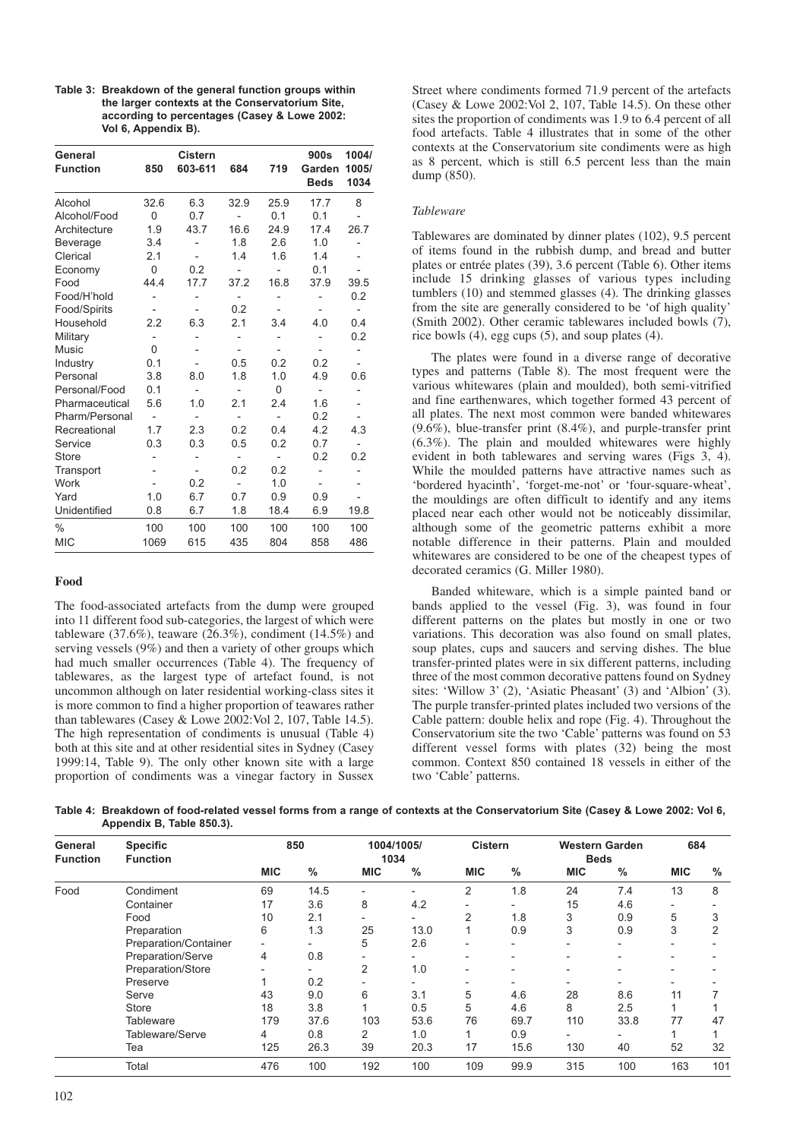| Table 3: Breakdown of the general function groups within |
|----------------------------------------------------------|
| the larger contexts at the Conservatorium Site.          |
| according to percentages (Casey & Lowe 2002:             |
| Vol 6, Appendix B).                                      |

| General<br><b>Function</b> | 850                      | <b>Cistern</b><br>603-611 | 684                          | 719                          | 900s<br>Garden           | 1004/<br>1005/               |
|----------------------------|--------------------------|---------------------------|------------------------------|------------------------------|--------------------------|------------------------------|
|                            |                          |                           |                              |                              | <b>Beds</b>              | 1034                         |
| Alcohol                    | 32.6                     | 6.3                       | 32.9                         | 25.9                         | 17.7                     | 8                            |
| Alcohol/Food               | 0                        | 0.7                       |                              | 0.1                          | 0.1                      |                              |
| Architecture               | 1.9                      | 43.7                      | 16.6                         | 24.9                         | 17.4                     | 26.7                         |
| Beverage                   | 3.4                      |                           | 1.8                          | 2.6                          | 1.0                      |                              |
| Clerical                   | 2.1                      | $\overline{a}$            | 1.4                          | 1.6                          | 1.4                      | $\overline{a}$               |
| Economy                    | $\Omega$                 | 0.2                       |                              |                              | 0.1                      |                              |
| Food                       | 44.4                     | 17.7                      | 37.2                         | 16.8                         | 37.9                     | 39.5                         |
| Food/H'hold                |                          |                           | $\qquad \qquad \blacksquare$ |                              |                          | 0.2                          |
| Food/Spirits               |                          |                           | 0.2                          | $\overline{\phantom{m}}$     |                          | -                            |
| Household                  | 2.2                      | 6.3                       | 2.1                          | 3.4                          | 4.0                      | 0.4                          |
| Military                   | $\overline{\phantom{0}}$ |                           |                              |                              |                          | 0.2                          |
| Music                      | 0                        |                           |                              |                              |                          | $\overline{\phantom{0}}$     |
| Industry                   | 0.1                      |                           | 0.5                          | 0.2                          | 0.2                      | $\qquad \qquad \blacksquare$ |
| Personal                   | 3.8                      | 8.0                       | 1.8                          | 1.0                          | 4.9                      | 0.6                          |
| Personal/Food              | 0.1                      | $\overline{\phantom{a}}$  |                              | $\Omega$                     | $\overline{a}$           |                              |
| Pharmaceutical             | 5.6                      | 1.0                       | 2.1                          | 2.4                          | 1.6                      | $\overline{\phantom{0}}$     |
| Pharm/Personal             | $\overline{a}$           | $\overline{\phantom{0}}$  |                              | $\overline{a}$               | 0.2                      | $\overline{\phantom{0}}$     |
| Recreational               | 1.7                      | 2.3                       | 0.2                          | 0.4                          | 4.2                      | 4.3                          |
| Service                    | 0.3                      | 0.3                       | 0.5                          | 0.2                          | 0.7                      | -                            |
| <b>Store</b>               |                          |                           | $\qquad \qquad \blacksquare$ | $\qquad \qquad \blacksquare$ | 0.2                      | 0.2                          |
| Transport                  |                          | $\overline{\phantom{a}}$  | 0.2                          | 0.2                          |                          |                              |
| Work                       |                          | 0.2                       |                              | 1.0                          | $\overline{\phantom{0}}$ |                              |
| Yard                       | 1.0                      | 6.7                       | 0.7                          | 0.9                          | 0.9                      |                              |
| Unidentified               | 0.8                      | 6.7                       | 1.8                          | 18.4                         | 6.9                      | 19.8                         |
| $\frac{0}{0}$              | 100                      | 100                       | 100                          | 100                          | 100                      | 100                          |
| <b>MIC</b>                 | 1069                     | 615                       | 435                          | 804                          | 858                      | 486                          |

# **Food**

The food-associated artefacts from the dump were grouped into 11 different food sub-categories, the largest of which were tableware  $(37.6\%)$ , teaware  $(26.3\%)$ , condiment  $(14.5\%)$  and serving vessels (9%) and then a variety of other groups which had much smaller occurrences (Table 4). The frequency of tablewares, as the largest type of artefact found, is not uncommon although on later residential working-class sites it is more common to find a higher proportion of teawares rather than tablewares (Casey & Lowe 2002:Vol 2, 107, Table 14.5). The high representation of condiments is unusual (Table 4) both at this site and at other residential sites in Sydney (Casey 1999:14, Table 9). The only other known site with a large proportion of condiments was a vinegar factory in Sussex

Street where condiments formed 71.9 percent of the artefacts (Casey & Lowe 2002:Vol 2, 107, Table 14.5). On these other sites the proportion of condiments was 1.9 to 6.4 percent of all food artefacts. Table 4 illustrates that in some of the other contexts at the Conservatorium site condiments were as high as 8 percent, which is still 6.5 percent less than the main  $dump(850)$ .

#### *Tableware*

Tablewares are dominated by dinner plates (102), 9.5 percent of items found in the rubbish dump, and bread and butter plates or entrée plates (39), 3.6 percent (Table 6). Other items include 15 drinking glasses of various types including tumblers (10) and stemmed glasses (4). The drinking glasses from the site are generally considered to be 'of high quality' (Smith 2002). Other ceramic tablewares included bowls (7), rice bowls (4), egg cups (5), and soup plates (4).

The plates were found in a diverse range of decorative types and patterns (Table 8). The most frequent were the various whitewares (plain and moulded), both semi-vitrified and fine earthenwares, which together formed 43 percent of all plates. The next most common were banded whitewares  $(9.6\%)$ , blue-transfer print  $(8.4\%)$ , and purple-transfer print (6.3%). The plain and moulded whitewares were highly evident in both tablewares and serving wares (Figs 3, 4). While the moulded patterns have attractive names such as 'bordered hyacinth', 'forget-me-not' or 'four-square-wheat', the mouldings are often difficult to identify and any items placed near each other would not be noticeably dissimilar, although some of the geometric patterns exhibit a more notable difference in their patterns. Plain and moulded whitewares are considered to be one of the cheapest types of decorated ceramics (G. Miller 1980).

Banded whiteware, which is a simple painted band or bands applied to the vessel (Fig. 3), was found in four different patterns on the plates but mostly in one or two variations. This decoration was also found on small plates, soup plates, cups and saucers and serving dishes. The blue transfer-printed plates were in six different patterns, including three of the most common decorative pattens found on Sydney sites: 'Willow 3' (2), 'Asiatic Pheasant' (3) and 'Albion' (3). The purple transfer-printed plates included two versions of the Cable pattern: double helix and rope (Fig. 4). Throughout the Conservatorium site the two 'Cable' patterns was found on 53 different vessel forms with plates (32) being the most common. Context 850 contained 18 vessels in either of the two 'Cable' patterns.

**Table 4: Breakdown of food-related vessel forms from a range of contexts at the Conservatorium Site (Casey & Lowe 2002: Vol 6, Appendix B, Table 850.3).**

| General<br><b>Function</b> | <b>Specific</b><br><b>Function</b> | 850<br>1004/1005/<br><b>Cistern</b><br>1034 |      |                          | <b>Western Garden</b><br><b>Beds</b> |            | 684  |            |                          |                          |      |
|----------------------------|------------------------------------|---------------------------------------------|------|--------------------------|--------------------------------------|------------|------|------------|--------------------------|--------------------------|------|
|                            |                                    | <b>MIC</b>                                  | $\%$ | <b>MIC</b>               | $\%$                                 | <b>MIC</b> | $\%$ | <b>MIC</b> | %                        | <b>MIC</b>               | $\%$ |
| Food                       | Condiment                          | 69                                          | 14.5 | $\overline{\phantom{a}}$ |                                      | 2          | 1.8  | 24         | 7.4                      | 13                       | 8    |
|                            | Container                          | 17                                          | 3.6  | 8                        | 4.2                                  |            |      | 15         | 4.6                      | ۰                        |      |
|                            | Food                               | 10                                          | 2.1  | -                        |                                      | 2          | 1.8  | 3          | 0.9                      | 5                        | 3    |
|                            | Preparation                        | 6                                           | 1.3  | 25                       | 13.0                                 |            | 0.9  | 3          | 0.9                      | 3                        | 2    |
|                            | Preparation/Container              | $\qquad \qquad \blacksquare$                |      | 5                        | 2.6                                  |            |      |            |                          | $\overline{\phantom{0}}$ |      |
|                            | Preparation/Serve                  | 4                                           | 0.8  | -                        |                                      |            |      |            |                          | $\overline{\phantom{0}}$ |      |
|                            | Preparation/Store                  |                                             | -    | $\overline{2}$           | 1.0                                  |            |      |            | ٠                        | $\overline{\phantom{0}}$ |      |
|                            | Preserve                           |                                             | 0.2  |                          |                                      |            |      |            |                          |                          |      |
|                            | Serve                              | 43                                          | 9.0  | 6                        | 3.1                                  | 5          | 4.6  | 28         | 8.6                      | 11                       |      |
|                            | Store                              | 18                                          | 3.8  |                          | 0.5                                  | 5          | 4.6  | 8          | 2.5                      |                          |      |
|                            | <b>Tableware</b>                   | 179                                         | 37.6 | 103                      | 53.6                                 | 76         | 69.7 | 110        | 33.8                     | 77                       | 47   |
|                            | Tableware/Serve                    | 4                                           | 0.8  | 2                        | 1.0                                  |            | 0.9  | -          | $\overline{\phantom{a}}$ |                          |      |
|                            | Tea                                | 125                                         | 26.3 | 39                       | 20.3                                 | 17         | 15.6 | 130        | 40                       | 52                       | 32   |
|                            | Total                              | 476                                         | 100  | 192                      | 100                                  | 109        | 99.9 | 315        | 100                      | 163                      | 101  |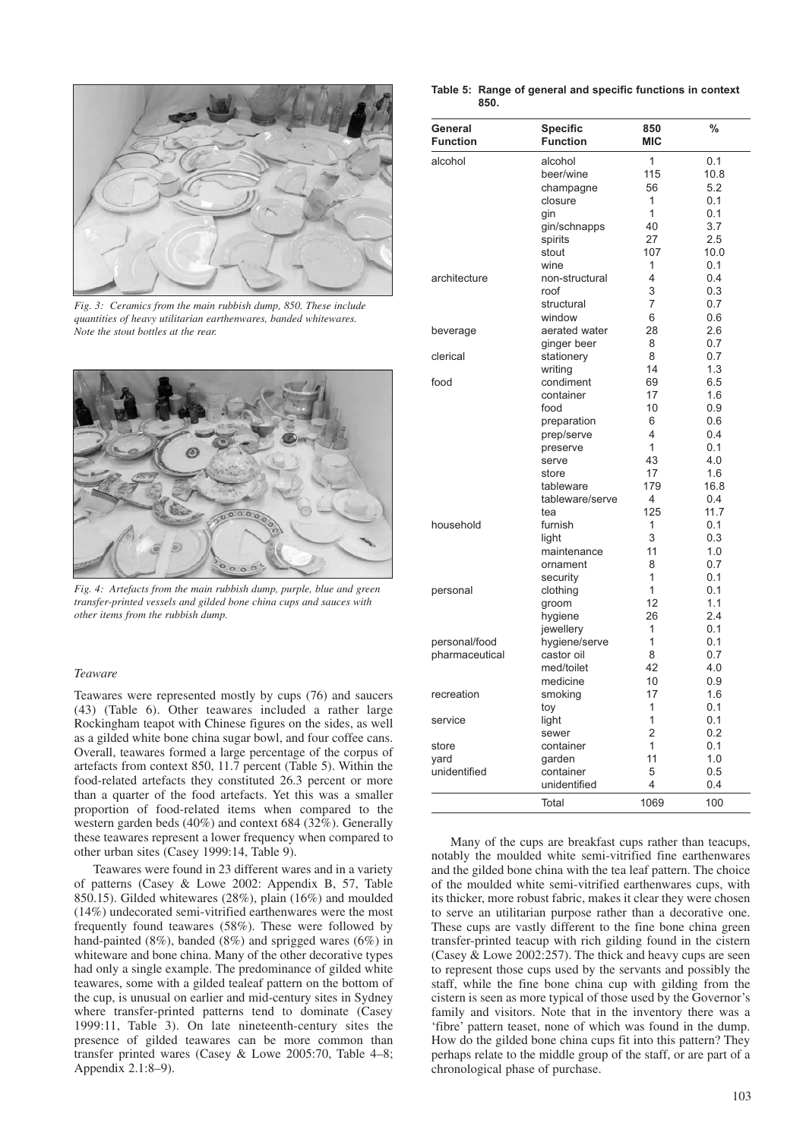

*Fig. 3: Ceramics from the main rubbish dump, 850. These include quantities of heavy utilitarian earthenwares, banded whitewares. Note the stout bottles at the rear.* 



*Fig. 4: Artefacts from the main rubbish dump, purple, blue and green transfer-printed vessels and gilded bone china cups and sauces with other items from the rubbish dump.* 

## *Teaware*

Teawares were represented mostly by cups (76) and saucers (43) (Table 6). Other teawares included a rather large Rockingham teapot with Chinese figures on the sides, as well as a gilded white bone china sugar bowl, and four coffee cans. Overall, teawares formed a large percentage of the corpus of artefacts from context 850, 11.7 percent (Table 5). Within the food-related artefacts they constituted 26.3 percent or more than a quarter of the food artefacts. Yet this was a smaller proportion of food-related items when compared to the western garden beds (40%) and context 684 (32%). Generally these teawares represent a lower frequency when compared to other urban sites (Casey 1999:14, Table 9).

Teawares were found in 23 different wares and in a variety of patterns (Casey & Lowe 2002: Appendix B, 57, Table 850.15). Gilded whitewares (28%), plain (16%) and moulded (14%) undecorated semi-vitrified earthenwares were the most frequently found teawares (58%). These were followed by hand-painted (8%), banded (8%) and sprigged wares (6%) in whiteware and bone china. Many of the other decorative types had only a single example. The predominance of gilded white teawares, some with a gilded tealeaf pattern on the bottom of the cup, is unusual on earlier and mid-century sites in Sydney where transfer-printed patterns tend to dominate (Casey 1999:11, Table 3). On late nineteenth-century sites the presence of gilded teawares can be more common than transfer printed wares (Casey & Lowe 2005:70, Table 4–8; Appendix 2.1:8–9).

#### **Table 5: Range of general and specific functions in context 850.**

| General<br><b>Function</b> | <b>Specific</b><br><b>Function</b> | 850<br><b>MIC</b> | $\frac{0}{0}$ |
|----------------------------|------------------------------------|-------------------|---------------|
| alcohol                    | alcohol                            | 1                 | 0.1           |
|                            | beer/wine                          | 115               | 10.8          |
|                            | champagne                          | 56                | 5.2           |
|                            | closure                            | 1                 | 0.1           |
|                            | ain                                | 1                 | 0.1           |
|                            | gin/schnapps                       | 40                | 3.7           |
|                            | spirits                            | 27                | 2.5           |
|                            | stout                              | 107               | 10.0          |
|                            | wine                               | 1                 | 0.1           |
| architecture               | non-structural                     | 4                 | 0.4           |
|                            | roof                               | 3                 | 0.3           |
|                            | structural                         | 7                 | 0.7           |
|                            | window                             | 6                 | 0.6           |
| beverage                   | aerated water                      | 28                | 2.6           |
|                            | ginger beer                        | 8                 | 0.7           |
| clerical                   | stationery                         | 8                 | 0.7           |
|                            | writing                            | 14                | 1.3           |
| food                       | condiment                          | 69                | 6.5           |
|                            | container                          | 17                | 1.6           |
|                            |                                    | 10                |               |
|                            | food                               |                   | 0.9<br>0.6    |
|                            | preparation                        | 6                 |               |
|                            | prep/serve                         | 4                 | 0.4           |
|                            | preserve                           | $\mathbf{1}$      | 0.1           |
|                            | serve                              | 43                | 4.0           |
|                            | store                              | 17                | 1.6           |
|                            | tableware                          | 179               | 16.8          |
|                            | tableware/serve                    | 4                 | 0.4           |
|                            | tea                                | 125               | 11.7          |
| household                  | furnish                            | 1                 | 0.1           |
|                            | light                              | 3                 | 0.3           |
|                            | maintenance                        | 11                | 1.0           |
|                            | ornament                           | 8                 | 0.7           |
|                            | security                           | 1                 | 0.1           |
| personal                   | clothing                           | 1                 | 0.1           |
|                            | groom                              | 12                | 1.1           |
|                            | hygiene                            | 26                | 2.4           |
|                            | jewellery                          | 1                 | 0.1           |
| personal/food              | hygiene/serve                      | 1                 | 0.1           |
| pharmaceutical             | castor oil                         | 8                 | 0.7           |
|                            | med/toilet                         | 42                | 4.0           |
|                            | medicine                           | 10                | 0.9           |
| recreation                 | smoking                            | 17                | 1.6           |
|                            | toy                                | 1                 | 0.1           |
| service                    | light                              | 1                 | 0.1           |
|                            | sewer                              | $\overline{2}$    | 0.2           |
| store                      | container                          | 1                 | 0.1           |
| vard                       | garden                             | 11                | 1.0           |
| unidentified               | container                          | 5                 | 0.5           |
|                            | unidentified                       | 4                 | 0.4           |
|                            |                                    |                   |               |
|                            | Total                              | 1069              | 100           |

Many of the cups are breakfast cups rather than teacups, notably the moulded white semi-vitrified fine earthenwares and the gilded bone china with the tea leaf pattern. The choice of the moulded white semi-vitrified earthenwares cups, with its thicker, more robust fabric, makes it clear they were chosen to serve an utilitarian purpose rather than a decorative one. These cups are vastly different to the fine bone china green transfer-printed teacup with rich gilding found in the cistern (Casey & Lowe 2002:257). The thick and heavy cups are seen to represent those cups used by the servants and possibly the staff, while the fine bone china cup with gilding from the cistern is seen as more typical of those used by the Governor's family and visitors. Note that in the inventory there was a 'fibre' pattern teaset, none of which was found in the dump. How do the gilded bone china cups fit into this pattern? They perhaps relate to the middle group of the staff, or are part of a chronological phase of purchase.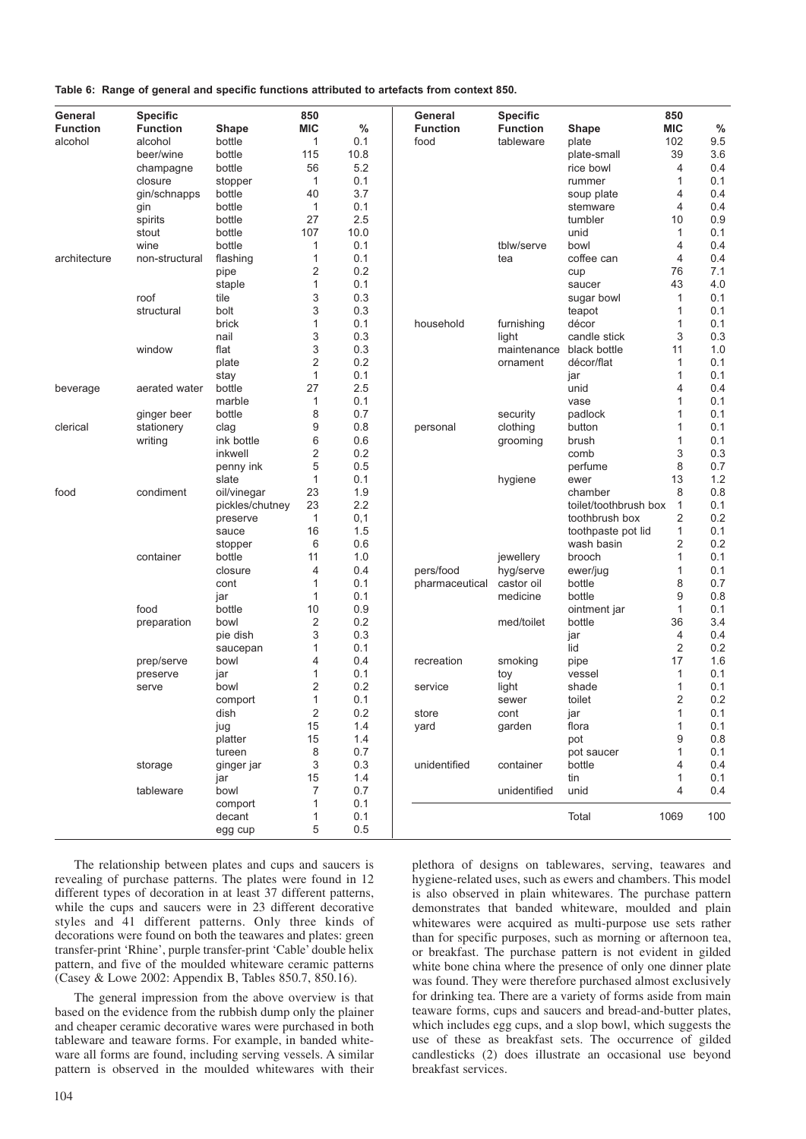**Table 6: Range of general and specific functions attributed to artefacts from context 850.**

| General         | <b>Specific</b> |                 | 850            |      | General         | <b>Specific</b>          |                       | 850            |      |
|-----------------|-----------------|-----------------|----------------|------|-----------------|--------------------------|-----------------------|----------------|------|
| <b>Function</b> | <b>Function</b> | <b>Shape</b>    | <b>MIC</b>     | $\%$ | <b>Function</b> | <b>Function</b>          | <b>Shape</b>          | MIC            | $\%$ |
| alcohol         | alcohol         | bottle          | 1              | 0.1  | food            | tableware                | plate                 | 102            | 9.5  |
|                 | beer/wine       | bottle          | 115            | 10.8 |                 |                          | plate-small           | 39             | 3.6  |
|                 | champagne       | bottle          | 56             | 5.2  |                 |                          | rice bowl             | 4              | 0.4  |
|                 | closure         | stopper         | $\mathbf{1}$   | 0.1  |                 |                          | rummer                | 1              | 0.1  |
|                 | gin/schnapps    | bottle          | 40             | 3.7  |                 |                          | soup plate            | 4              | 0.4  |
|                 | gin             | bottle          | 1              | 0.1  |                 |                          | stemware              | 4              | 0.4  |
|                 | spirits         | bottle          | 27             | 2.5  |                 |                          | tumbler               | 10             | 0.9  |
|                 | stout           | bottle          | 107            | 10.0 |                 |                          | unid                  | 1              | 0.1  |
|                 | wine            | bottle          | $\mathbf{1}$   | 0.1  |                 | tblw/serve               | bowl                  | 4              | 0.4  |
| architecture    | non-structural  | flashing        | 1              | 0.1  |                 | tea                      | coffee can            | 4              | 0.4  |
|                 |                 | pipe            | 2              | 0.2  |                 |                          | cup                   | 76             | 7.1  |
|                 |                 | staple          | 1              | 0.1  |                 |                          | saucer                | 43             | 4.0  |
|                 | roof            | tile            | 3              | 0.3  |                 |                          | sugar bowl            | 1              | 0.1  |
|                 | structural      | bolt            | 3              | 0.3  |                 |                          | teapot                | 1              | 0.1  |
|                 |                 | brick           | 1              | 0.1  | household       | furnishing               | décor                 | 1              | 0.1  |
|                 |                 | nail            | 3              | 0.3  |                 | light                    | candle stick          | 3              | 0.3  |
|                 | window          | flat            | 3              | 0.3  |                 | maintenance black bottle |                       | 11             | 1.0  |
|                 |                 | plate           | 2              | 0.2  |                 | ornament                 | décor/flat            | 1              | 0.1  |
|                 |                 | stay            | $\mathbf{1}$   | 0.1  |                 |                          | jar                   | 1              | 0.1  |
| beverage        | aerated water   | bottle          | 27             | 2.5  |                 |                          | unid                  | 4              | 0.4  |
|                 |                 | marble          | 1              | 0.1  |                 |                          | vase                  | 1              | 0.1  |
|                 | ginger beer     | bottle          | 8              | 0.7  |                 | security                 | padlock               | 1              | 0.1  |
| clerical        | stationery      | clag            | 9              | 0.8  | personal        | clothing                 | button                | 1              | 0.1  |
|                 | writing         | ink bottle      | 6              | 0.6  |                 | grooming                 | brush                 | 1              | 0.1  |
|                 |                 | inkwell         | 2              | 0.2  |                 |                          | comb                  | 3              | 0.3  |
|                 |                 | penny ink       | 5              | 0.5  |                 |                          | perfume               | 8              | 0.7  |
|                 |                 | slate           | 1              | 0.1  |                 | hygiene                  | ewer                  | 13             | 1.2  |
| food            | condiment       | oil/vinegar     | 23             | 1.9  |                 |                          | chamber               | 8              | 0.8  |
|                 |                 | pickles/chutney | 23             | 2.2  |                 |                          | toilet/toothbrush box | $\mathbf{1}$   | 0.1  |
|                 |                 | preserve        | $\mathbf{1}$   | 0,1  |                 |                          | toothbrush box        | 2              | 0.2  |
|                 |                 | sauce           | 16             | 1.5  |                 |                          | toothpaste pot lid    | 1              | 0.1  |
|                 |                 | stopper         | 6              | 0.6  |                 |                          | wash basin            | 2              | 0.2  |
|                 | container       | bottle          | 11             | 1.0  |                 | jewellery                | brooch                | 1              | 0.1  |
|                 |                 | closure         | 4              | 0.4  | pers/food       | hyg/serve                | ewer/jug              | 1              | 0.1  |
|                 |                 | cont            | 1              | 0.1  | pharmaceutical  | castor oil               | bottle                | 8              | 0.7  |
|                 |                 | jar             | 1              | 0.1  |                 | medicine                 | bottle                | 9              | 0.8  |
|                 | food            | bottle          | 10             | 0.9  |                 |                          | ointment jar          | 1              | 0.1  |
|                 | preparation     | bowl            | 2              | 0.2  |                 | med/toilet               | bottle                | 36             | 3.4  |
|                 |                 | pie dish        | 3              | 0.3  |                 |                          | jar                   | $\overline{4}$ | 0.4  |
|                 |                 | saucepan        | 1              | 0.1  |                 |                          | lid                   | 2              | 0.2  |
|                 | prep/serve      | bowl            | 4              | 0.4  | recreation      | smoking                  | pipe                  | 17             | 1.6  |
|                 | preserve        | jar             | 1              | 0.1  |                 | toy                      | vessel                | 1              | 0.1  |
|                 | serve           | bowl            | 2              | 0.2  | service         | light                    | shade                 | 1              | 0.1  |
|                 |                 | comport         | $\mathbf{1}$   | 0.1  |                 | sewer                    | toilet                | $\overline{2}$ | 0.2  |
|                 |                 | dish            | 2              | 0.2  | store           | cont                     | jar                   | 1              | 0.1  |
|                 |                 | jug             | 15             | 1.4  | yard            | garden                   | flora                 | 1              | 0.1  |
|                 |                 | platter         | 15             | 1.4  |                 |                          | pot                   | 9              | 0.8  |
|                 |                 | tureen          | 8              | 0.7  |                 |                          | pot saucer            | 1              | 0.1  |
|                 | storage         | ginger jar      | 3              | 0.3  | unidentified    | container                | bottle                | 4              | 0.4  |
|                 |                 | jar             | 15             | 1.4  |                 |                          | tin                   | 1              | 0.1  |
|                 | tableware       | bowl            | $\overline{7}$ | 0.7  |                 | unidentified             | unid                  | 4              | 0.4  |
|                 |                 | comport         | 1              | 0.1  |                 |                          |                       |                |      |
|                 |                 | decant          | 1              | 0.1  |                 |                          | Total                 | 1069           | 100  |
|                 |                 | egg cup         | 5              | 0.5  |                 |                          |                       |                |      |

The relationship between plates and cups and saucers is revealing of purchase patterns. The plates were found in 12 different types of decoration in at least 37 different patterns, while the cups and saucers were in 23 different decorative styles and 41 different patterns. Only three kinds of decorations were found on both the teawares and plates: green transfer-print 'Rhine', purple transfer-print 'Cable' double helix pattern, and five of the moulded whiteware ceramic patterns (Casey & Lowe 2002: Appendix B, Tables 850.7, 850.16).

The general impression from the above overview is that based on the evidence from the rubbish dump only the plainer and cheaper ceramic decorative wares were purchased in both tableware and teaware forms. For example, in banded whiteware all forms are found, including serving vessels. A similar pattern is observed in the moulded whitewares with their plethora of designs on tablewares, serving, teawares and hygiene-related uses, such as ewers and chambers. This model is also observed in plain whitewares. The purchase pattern demonstrates that banded whiteware, moulded and plain whitewares were acquired as multi-purpose use sets rather than for specific purposes, such as morning or afternoon tea, or breakfast. The purchase pattern is not evident in gilded white bone china where the presence of only one dinner plate was found. They were therefore purchased almost exclusively for drinking tea. There are a variety of forms aside from main teaware forms, cups and saucers and bread-and-butter plates, which includes egg cups, and a slop bowl, which suggests the use of these as breakfast sets. The occurrence of gilded candlesticks (2) does illustrate an occasional use beyond breakfast services.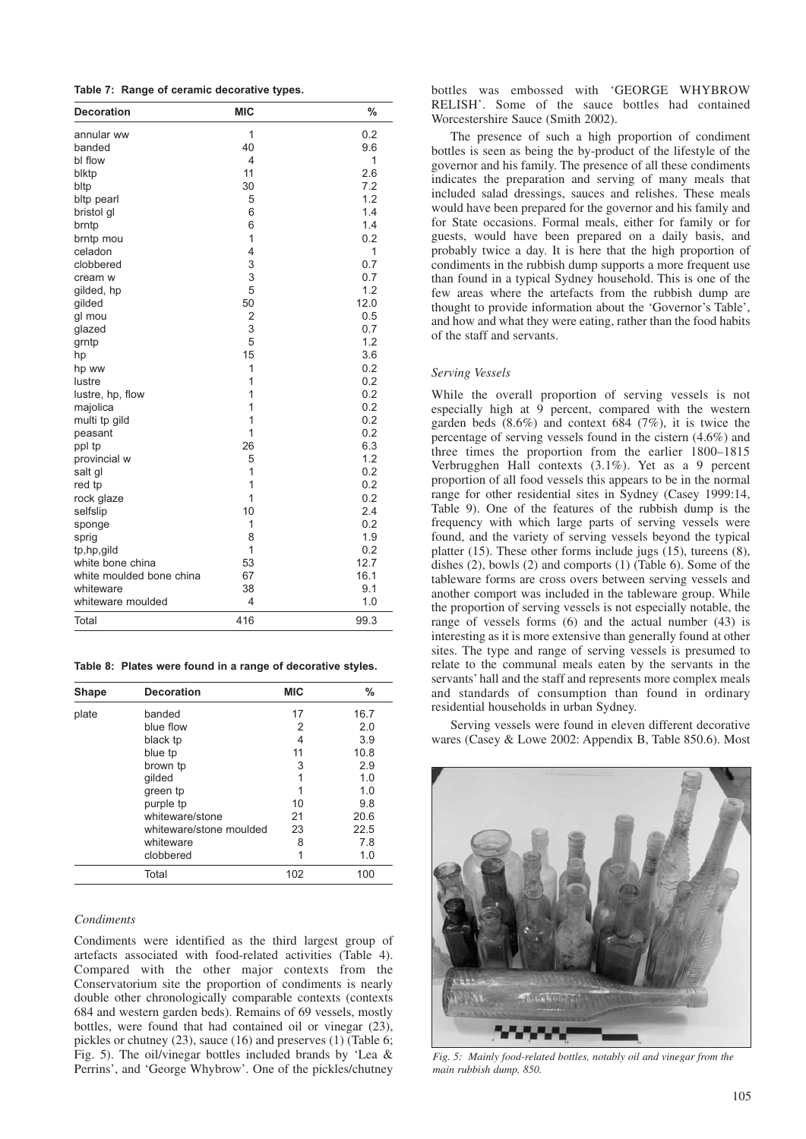|  |  |  |  | Table 7: Range of ceramic decorative types. |  |
|--|--|--|--|---------------------------------------------|--|
|--|--|--|--|---------------------------------------------|--|

| <b>Decoration</b>        | <b>MIC</b>     | $\frac{0}{0}$ |
|--------------------------|----------------|---------------|
| annular ww               | 1              | 0.2           |
| banded                   | 40             | 9.6           |
| bl flow                  | 4              | 1             |
| blktp                    | 11             | 2.6           |
| bltp                     | 30             | 7.2           |
| bltp pearl               | 5              | 1.2           |
| bristol gl               | 6              | 1.4           |
| brntp                    | 6              | 1.4           |
| brntp mou                | 1              | 0.2           |
| celadon                  | 4              | 1             |
| clobbered                | 3              | 0.7           |
| cream w                  | 3              | 0.7           |
| gilded, hp               | 5              | 1.2           |
| gilded                   | 50             | 12.0          |
| gl mou                   | 2              | 0.5           |
| glazed                   | 3              | 0.7           |
| grntp                    | 5              | 1.2           |
| hp                       | 15             | 3.6           |
| hp ww                    | $\mathbf{1}$   | 0.2           |
| lustre                   | 1              | 0.2           |
| lustre, hp, flow         | 1              | 0.2           |
| majolica                 | $\overline{1}$ | 0.2           |
| multi tp gild            | 1              | 0.2           |
| peasant                  | $\mathbf{1}$   | 0.2           |
| ppl tp                   | 26             | 6.3           |
| provincial w             | 5              | 1.2           |
| salt gl                  | 1              | 0.2           |
| red tp                   | 1              | 0.2           |
| rock glaze               | 1              | 0.2           |
| selfslip                 | 10             | 2.4           |
| sponge                   | 1              | 0.2           |
| sprig                    | 8              | 1.9           |
| tp,hp,gild               | 1              | 0.2           |
| white bone china         | 53             | 12.7          |
| white moulded bone china | 67             | 16.1          |
| whiteware                | 38             | 9.1           |
| whiteware moulded        | 4              | 1.0           |
| Total                    | 416            | 99.3          |

**Table 8: Plates were found in a range of decorative styles.**

| Shape | <b>Decoration</b>       | <b>MIC</b> | $\%$ |
|-------|-------------------------|------------|------|
| plate | banded                  | 17         | 16.7 |
|       | blue flow               | 2          | 2.0  |
|       | black tp                | 4          | 3.9  |
|       | blue tp                 | 11         | 10.8 |
|       | brown tp                | 3          | 2.9  |
|       | gilded                  |            | 1.0  |
|       | green tp                |            | 1.0  |
|       | purple tp               | 10         | 9.8  |
|       | whiteware/stone         | 21         | 20.6 |
|       | whiteware/stone moulded | 23         | 22.5 |
|       | whiteware               | 8          | 7.8  |
|       | clobbered               | 1          | 1.0  |
|       | Total                   | 102        | 100  |

## *Condiments*

Condiments were identified as the third largest group of artefacts associated with food-related activities (Table 4). Compared with the other major contexts from the Conservatorium site the proportion of condiments is nearly double other chronologically comparable contexts (contexts 684 and western garden beds). Remains of 69 vessels, mostly bottles, were found that had contained oil or vinegar (23), pickles or chutney (23), sauce (16) and preserves (1) (Table 6; Fig. 5). The oil/vinegar bottles included brands by 'Lea & Perrins', and 'George Whybrow'. One of the pickles/chutney

bottles was embossed with 'GEORGE WHYBROW RELISH'. Some of the sauce bottles had contained Worcestershire Sauce (Smith 2002).

The presence of such a high proportion of condiment bottles is seen as being the by-product of the lifestyle of the governor and his family. The presence of all these condiments indicates the preparation and serving of many meals that included salad dressings, sauces and relishes. These meals would have been prepared for the governor and his family and for State occasions. Formal meals, either for family or for guests, would have been prepared on a daily basis, and probably twice a day. It is here that the high proportion of condiments in the rubbish dump supports a more frequent use than found in a typical Sydney household. This is one of the few areas where the artefacts from the rubbish dump are thought to provide information about the 'Governor's Table', and how and what they were eating, rather than the food habits of the staff and servants.

#### *Serving Vessels*

While the overall proportion of serving vessels is not especially high at  $9$  percent, compared with the western garden beds  $(8.6\%)$  and context  $684$   $(7\%)$ , it is twice the percentage of serving vessels found in the cistern (4.6%) and three times the proportion from the earlier 1800–1815 Verbrugghen Hall contexts (3.1%). Yet as a 9 percent proportion of all food vessels this appears to be in the normal range for other residential sites in Sydney (Casey 1999:14, Table 9). One of the features of the rubbish dump is the frequency with which large parts of serving vessels were found, and the variety of serving vessels beyond the typical platter  $(15)$ . These other forms include jugs  $(15)$ , tureens  $(8)$ , dishes (2), bowls (2) and comports (1) (Table 6). Some of the tableware forms are cross overs between serving vessels and another comport was included in the tableware group. While the proportion of serving vessels is not especially notable, the range of vessels forms (6) and the actual number (43) is interesting as it is more extensive than generally found at other sites. The type and range of serving vessels is presumed to relate to the communal meals eaten by the servants in the servants' hall and the staff and represents more complex meals and standards of consumption than found in ordinary residential households in urban Sydney.

Serving vessels were found in eleven different decorative wares (Casey & Lowe 2002: Appendix B, Table 850.6). Most



*Fig. 5: Mainly food-related bottles, notably oil and vinegar from the main rubbish dump, 850.*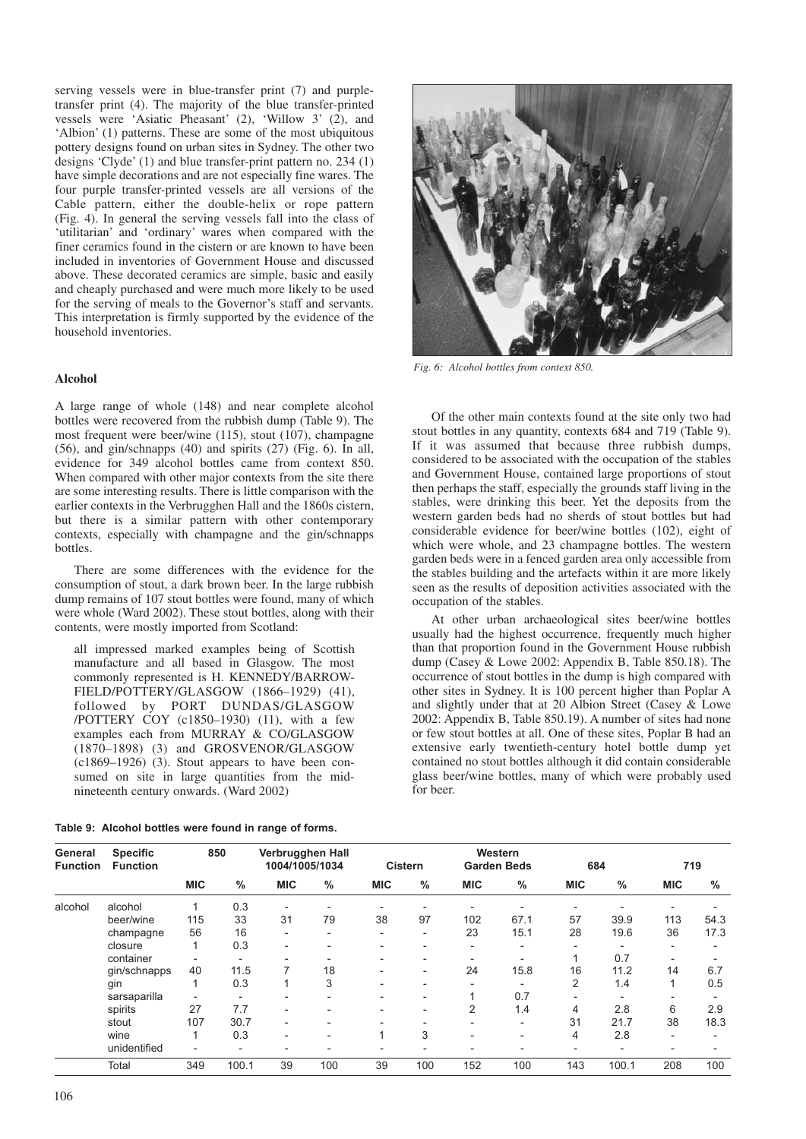serving vessels were in blue-transfer print (7) and purpletransfer print (4). The majority of the blue transfer-printed vessels were 'Asiatic Pheasant' (2), 'Willow 3' (2), and 'Albion' (1) patterns. These are some of the most ubiquitous pottery designs found on urban sites in Sydney. The other two designs 'Clyde' (1) and blue transfer-print pattern no. 234 (1) have simple decorations and are not especially fine wares. The four purple transfer-printed vessels are all versions of the Cable pattern, either the double-helix or rope pattern (Fig. 4). In general the serving vessels fall into the class of 'utilitarian' and 'ordinary' wares when compared with the finer ceramics found in the cistern or are known to have been included in inventories of Government House and discussed above. These decorated ceramics are simple, basic and easily and cheaply purchased and were much more likely to be used for the serving of meals to the Governor's staff and servants. This interpretation is firmly supported by the evidence of the household inventories.

## **Alcohol**

A large range of whole (148) and near complete alcohol bottles were recovered from the rubbish dump (Table 9). The most frequent were beer/wine (115), stout (107), champagne (56), and gin/schnapps (40) and spirits (27) (Fig. 6). In all, evidence for 349 alcohol bottles came from context 850. When compared with other major contexts from the site there are some interesting results. There is little comparison with the earlier contexts in the Verbrugghen Hall and the 1860s cistern, but there is a similar pattern with other contemporary contexts, especially with champagne and the gin/schnapps bottles.

There are some differences with the evidence for the consumption of stout, a dark brown beer. In the large rubbish dump remains of 107 stout bottles were found, many of which were whole (Ward 2002). These stout bottles, along with their contents, were mostly imported from Scotland:

all impressed marked examples being of Scottish manufacture and all based in Glasgow. The most commonly represented is H. KENNEDY/BARROW-FIELD/POTTERY/GLASGOW (1866–1929) (41), followed by PORT DUNDAS/GLASGOW /POTTERY COY (c1850–1930) (11), with a few examples each from MURRAY & CO/GLASGOW (1870–1898) (3) and GROSVENOR/GLASGOW (c1869–1926) (3). Stout appears to have been consumed on site in large quantities from the midnineteenth century onwards. (Ward 2002)

| Table 9: Alcohol bottles were found in range of forms. |  |  |  |
|--------------------------------------------------------|--|--|--|
|--------------------------------------------------------|--|--|--|



*Fig. 6: Alcohol bottles from context 850.* 

Of the other main contexts found at the site only two had stout bottles in any quantity, contexts 684 and 719 (Table 9). If it was assumed that because three rubbish dumps, considered to be associated with the occupation of the stables and Government House, contained large proportions of stout then perhaps the staff, especially the grounds staff living in the stables, were drinking this beer. Yet the deposits from the western garden beds had no sherds of stout bottles but had considerable evidence for beer/wine bottles (102), eight of which were whole, and 23 champagne bottles. The western garden beds were in a fenced garden area only accessible from the stables building and the artefacts within it are more likely seen as the results of deposition activities associated with the occupation of the stables.

At other urban archaeological sites beer/wine bottles usually had the highest occurrence, frequently much higher than that proportion found in the Government House rubbish dump (Casey & Lowe 2002: Appendix B, Table 850.18). The occurrence of stout bottles in the dump is high compared with other sites in Sydney. It is 100 percent higher than Poplar A and slightly under that at 20 Albion Street (Casey & Lowe 2002: Appendix B, Table 850.19). A number of sites had none or few stout bottles at all. One of these sites, Poplar B had an extensive early twentieth-century hotel bottle dump yet contained no stout bottles although it did contain considerable glass beer/wine bottles, many of which were probably used for beer.

| General<br><b>Function</b> | <b>Specific</b><br><b>Function</b> |                          | 850                      | Verbrugghen Hall<br>1004/1005/1034 |                          |                          | <b>Cistern</b> |                          | Western<br><b>Garden Beds</b> |            | 684   |                          | 719  |
|----------------------------|------------------------------------|--------------------------|--------------------------|------------------------------------|--------------------------|--------------------------|----------------|--------------------------|-------------------------------|------------|-------|--------------------------|------|
|                            |                                    | <b>MIC</b>               | $\%$                     | <b>MIC</b>                         | $\%$                     | <b>MIC</b>               | %              | <b>MIC</b>               | $\%$                          | <b>MIC</b> | %     | <b>MIC</b>               | %    |
| alcohol                    | alcohol                            |                          | 0.3                      |                                    |                          |                          |                |                          |                               |            |       |                          |      |
|                            | beer/wine                          | 115                      | 33                       | 31                                 | 79                       | 38                       | 97             | 102                      | 67.1                          | 57         | 39.9  | 113                      | 54.3 |
|                            | champagne                          | 56                       | 16                       | ۰                                  | $\overline{\phantom{0}}$ | $\overline{\phantom{0}}$ | ۰              | 23                       | 15.1                          | 28         | 19.6  | 36                       | 17.3 |
|                            | closure                            |                          | 0.3                      | ۰                                  | $\overline{\phantom{a}}$ | -                        |                | ۰                        | -                             |            |       | $\overline{\phantom{a}}$ |      |
|                            | container                          |                          |                          |                                    |                          |                          |                |                          |                               |            | 0.7   | $\overline{\phantom{0}}$ |      |
|                            | gin/schnapps                       | 40                       | 11.5                     |                                    | 18                       | $\overline{\phantom{a}}$ | -              | 24                       | 15.8                          | 16         | 11.2  | 14                       | 6.7  |
|                            | gin                                |                          | 0.3                      |                                    | 3                        | -                        |                | $\overline{\phantom{0}}$ |                               | 2          | 1.4   |                          | 0.5  |
|                            | sarsaparilla                       |                          | $\overline{\phantom{0}}$ |                                    |                          |                          |                |                          | 0.7                           |            |       |                          |      |
|                            | spirits                            | 27                       | 7.7                      |                                    | $\overline{\phantom{a}}$ |                          |                | 2                        | 1.4                           | 4          | 2.8   | 6                        | 2.9  |
|                            | stout                              | 107                      | 30.7                     | ۰                                  | ٠                        | -                        |                | ۰                        | -                             | 31         | 21.7  | 38                       | 18.3 |
|                            | wine                               |                          | 0.3                      | $\overline{\phantom{0}}$           | ٠                        | 1                        | 3              | $\overline{\phantom{a}}$ |                               | 4          | 2.8   | $\overline{\phantom{0}}$ |      |
|                            | unidentified                       | $\overline{\phantom{a}}$ | $\overline{\phantom{a}}$ |                                    | $\overline{\phantom{0}}$ |                          |                |                          |                               |            |       |                          |      |
|                            | Total                              | 349                      | 100.1                    | 39                                 | 100                      | 39                       | 100            | 152                      | 100                           | 143        | 100.1 | 208                      | 100  |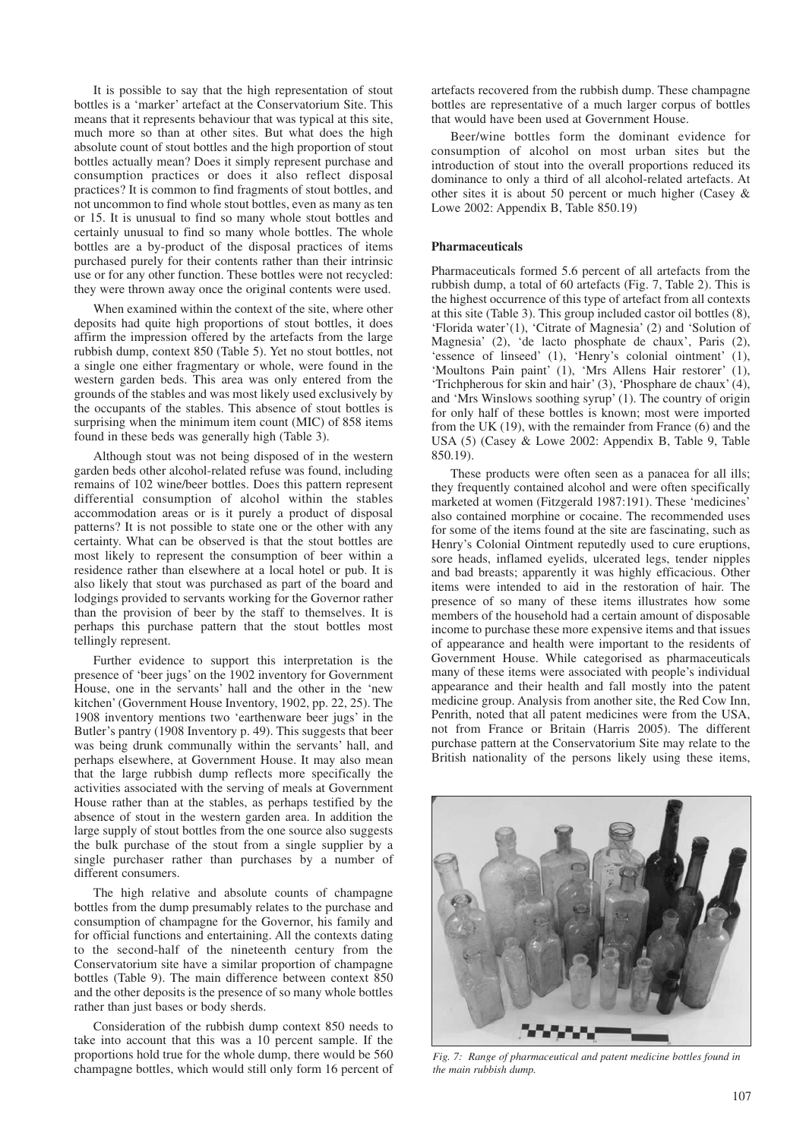It is possible to say that the high representation of stout bottles is a 'marker' artefact at the Conservatorium Site. This means that it represents behaviour that was typical at this site, much more so than at other sites. But what does the high absolute count of stout bottles and the high proportion of stout bottles actually mean? Does it simply represent purchase and consumption practices or does it also reflect disposal practices? It is common to find fragments of stout bottles, and not uncommon to find whole stout bottles, even as many as ten or 15. It is unusual to find so many whole stout bottles and certainly unusual to find so many whole bottles. The whole bottles are a by-product of the disposal practices of items purchased purely for their contents rather than their intrinsic use or for any other function. These bottles were not recycled: they were thrown away once the original contents were used.

When examined within the context of the site, where other deposits had quite high proportions of stout bottles, it does affirm the impression offered by the artefacts from the large rubbish dump, context 850 (Table 5). Yet no stout bottles, not a single one either fragmentary or whole, were found in the western garden beds. This area was only entered from the grounds of the stables and was most likely used exclusively by the occupants of the stables. This absence of stout bottles is surprising when the minimum item count (MIC) of 858 items found in these beds was generally high (Table 3).

Although stout was not being disposed of in the western garden beds other alcohol-related refuse was found, including remains of 102 wine/beer bottles. Does this pattern represent differential consumption of alcohol within the stables accommodation areas or is it purely a product of disposal patterns? It is not possible to state one or the other with any certainty. What can be observed is that the stout bottles are most likely to represent the consumption of beer within a residence rather than elsewhere at a local hotel or pub. It is also likely that stout was purchased as part of the board and lodgings provided to servants working for the Governor rather than the provision of beer by the staff to themselves. It is perhaps this purchase pattern that the stout bottles most tellingly represent.

Further evidence to support this interpretation is the presence of 'beer jugs' on the 1902 inventory for Government House, one in the servants' hall and the other in the 'new kitchen' (Government House Inventory, 1902, pp. 22, 25). The 1908 inventory mentions two 'earthenware beer jugs' in the Butler's pantry (1908 Inventory p. 49). This suggests that beer was being drunk communally within the servants' hall, and perhaps elsewhere, at Government House. It may also mean that the large rubbish dump reflects more specifically the activities associated with the serving of meals at Government House rather than at the stables, as perhaps testified by the absence of stout in the western garden area. In addition the large supply of stout bottles from the one source also suggests the bulk purchase of the stout from a single supplier by a single purchaser rather than purchases by a number of different consumers.

The high relative and absolute counts of champagne bottles from the dump presumably relates to the purchase and consumption of champagne for the Governor, his family and for official functions and entertaining. All the contexts dating to the second-half of the nineteenth century from the Conservatorium site have a similar proportion of champagne bottles (Table 9). The main difference between context 850 and the other deposits is the presence of so many whole bottles rather than just bases or body sherds.

Consideration of the rubbish dump context 850 needs to take into account that this was a 10 percent sample. If the proportions hold true for the whole dump, there would be 560 champagne bottles, which would still only form 16 percent of

artefacts recovered from the rubbish dump. These champagne bottles are representative of a much larger corpus of bottles that would have been used at Government House.

Beer/wine bottles form the dominant evidence for consumption of alcohol on most urban sites but the introduction of stout into the overall proportions reduced its dominance to only a third of all alcohol-related artefacts. At other sites it is about 50 percent or much higher (Casey & Lowe 2002: Appendix B, Table 850.19)

## **Pharmaceuticals**

Pharmaceuticals formed 5.6 percent of all artefacts from the rubbish dump, a total of 60 artefacts (Fig. 7, Table 2). This is the highest occurrence of this type of artefact from all contexts at this site (Table 3). This group included castor oil bottles (8), 'Florida water'(1), 'Citrate of Magnesia' (2) and 'Solution of Magnesia' (2), 'de lacto phosphate de chaux', Paris (2), 'essence of linseed' (1), 'Henry's colonial ointment' (1), 'Moultons Pain paint' (1), 'Mrs Allens Hair restorer' (1), 'Trichpherous for skin and hair' (3), 'Phosphare de chaux' (4), and 'Mrs Winslows soothing syrup' (1). The country of origin for only half of these bottles is known; most were imported from the UK (19), with the remainder from France (6) and the USA (5) (Casey & Lowe 2002: Appendix B, Table 9, Table 850.19).

These products were often seen as a panacea for all ills; they frequently contained alcohol and were often specifically marketed at women (Fitzgerald 1987:191). These 'medicines' also contained morphine or cocaine. The recommended uses for some of the items found at the site are fascinating, such as Henry's Colonial Ointment reputedly used to cure eruptions, sore heads, inflamed eyelids, ulcerated legs, tender nipples and bad breasts; apparently it was highly efficacious. Other items were intended to aid in the restoration of hair. The presence of so many of these items illustrates how some members of the household had a certain amount of disposable income to purchase these more expensive items and that issues of appearance and health were important to the residents of Government House. While categorised as pharmaceuticals many of these items were associated with people's individual appearance and their health and fall mostly into the patent medicine group. Analysis from another site, the Red Cow Inn, Penrith, noted that all patent medicines were from the USA, not from France or Britain (Harris 2005). The different purchase pattern at the Conservatorium Site may relate to the British nationality of the persons likely using these items,



*Fig. 7: Range of pharmaceutical and patent medicine bottles found in the main rubbish dump.*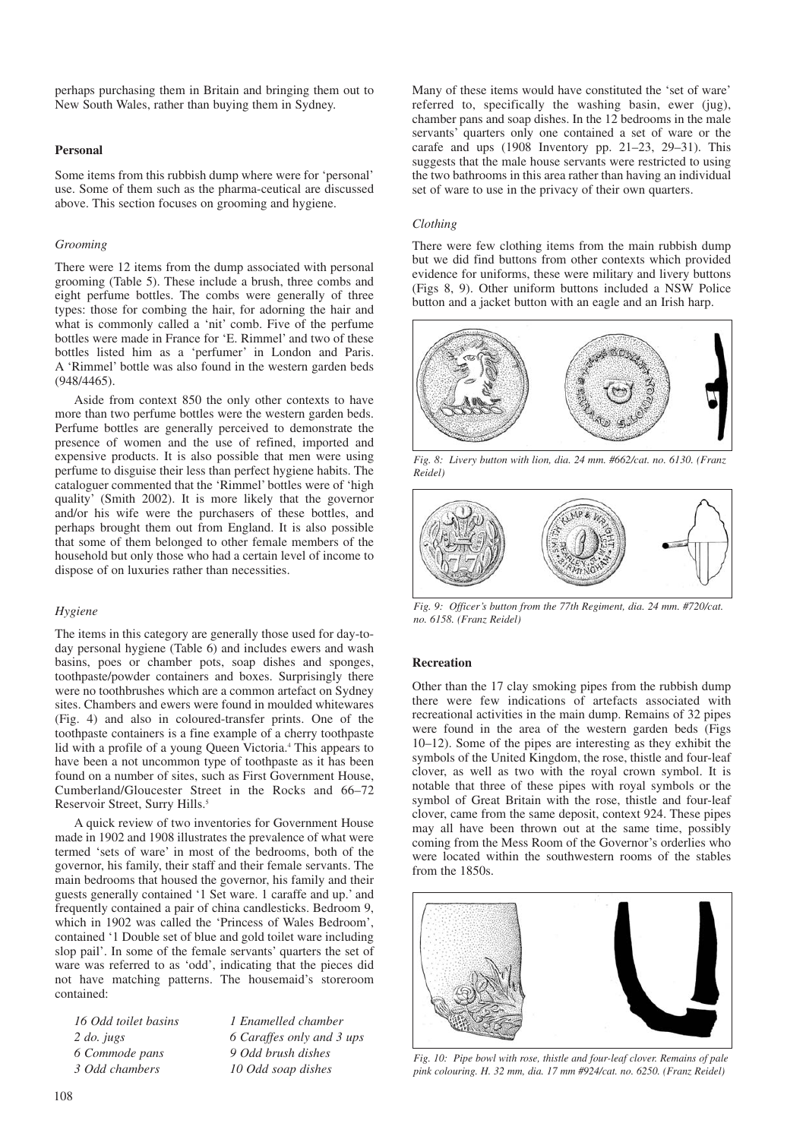perhaps purchasing them in Britain and bringing them out to New South Wales, rather than buying them in Sydney.

## **Personal**

Some items from this rubbish dump where were for 'personal' use. Some of them such as the pharma-ceutical are discussed above. This section focuses on grooming and hygiene.

## *Grooming*

There were 12 items from the dump associated with personal grooming (Table 5). These include a brush, three combs and eight perfume bottles. The combs were generally of three types: those for combing the hair, for adorning the hair and what is commonly called a 'nit' comb. Five of the perfume bottles were made in France for 'E. Rimmel' and two of these bottles listed him as a 'perfumer' in London and Paris. A 'Rimmel' bottle was also found in the western garden beds (948/4465).

Aside from context 850 the only other contexts to have more than two perfume bottles were the western garden beds. Perfume bottles are generally perceived to demonstrate the presence of women and the use of refined, imported and expensive products. It is also possible that men were using perfume to disguise their less than perfect hygiene habits. The cataloguer commented that the 'Rimmel' bottles were of 'high quality' (Smith 2002). It is more likely that the governor and/or his wife were the purchasers of these bottles, and perhaps brought them out from England. It is also possible that some of them belonged to other female members of the household but only those who had a certain level of income to dispose of on luxuries rather than necessities.

## *Hygiene*

The items in this category are generally those used for day-today personal hygiene (Table 6) and includes ewers and wash basins, poes or chamber pots, soap dishes and sponges, toothpaste/powder containers and boxes. Surprisingly there were no toothbrushes which are a common artefact on Sydney sites. Chambers and ewers were found in moulded whitewares (Fig. 4) and also in coloured-transfer prints. One of the toothpaste containers is a fine example of a cherry toothpaste lid with a profile of a young Queen Victoria.<sup>4</sup> This appears to have been a not uncommon type of toothpaste as it has been found on a number of sites, such as First Government House, Cumberland/Gloucester Street in the Rocks and 66–72 Reservoir Street, Surry Hills.<sup>5</sup>

A quick review of two inventories for Government House made in 1902 and 1908 illustrates the prevalence of what were termed 'sets of ware' in most of the bedrooms, both of the governor, his family, their staff and their female servants. The main bedrooms that housed the governor, his family and their guests generally contained '1 Set ware. 1 caraffe and up.' and frequently contained a pair of china candlesticks. Bedroom 9, which in 1902 was called the 'Princess of Wales Bedroom', contained '1 Double set of blue and gold toilet ware including slop pail'. In some of the female servants' quarters the set of ware was referred to as 'odd', indicating that the pieces did not have matching patterns. The housemaid's storeroom contained:

| 16 Odd toilet basins | 1 Enamelled chamber       |
|----------------------|---------------------------|
| $2$ do. jugs         | 6 Caraffes only and 3 ups |
| 6 Commode pans       | 9 Odd brush dishes        |
| 3 Odd chambers       | 10 Odd soap dishes        |

Many of these items would have constituted the 'set of ware' referred to, specifically the washing basin, ewer (jug), chamber pans and soap dishes. In the 12 bedrooms in the male servants' quarters only one contained a set of ware or the carafe and ups  $(1908)$  Inventory pp. 21–23, 29–31). This suggests that the male house servants were restricted to using the two bathrooms in this area rather than having an individual set of ware to use in the privacy of their own quarters.

## *Clothing*

There were few clothing items from the main rubbish dump but we did find buttons from other contexts which provided evidence for uniforms, these were military and livery buttons (Figs 8, 9). Other uniform buttons included a NSW Police button and a jacket button with an eagle and an Irish harp.



*Fig. 8: Livery button with lion, dia. 24 mm. #662/cat. no. 6130. (Franz Reidel)*



*Fig. 9: Officer's button from the 77th Regiment, dia. 24 mm. #720/cat. no. 6158. (Franz Reidel)*

#### **Recreation**

Other than the 17 clay smoking pipes from the rubbish dump there were few indications of artefacts associated with recreational activities in the main dump. Remains of 32 pipes were found in the area of the western garden beds (Figs 10–12). Some of the pipes are interesting as they exhibit the symbols of the United Kingdom, the rose, thistle and four-leaf clover, as well as two with the royal crown symbol. It is notable that three of these pipes with royal symbols or the symbol of Great Britain with the rose, thistle and four-leaf clover, came from the same deposit, context 924. These pipes may all have been thrown out at the same time, possibly coming from the Mess Room of the Governor's orderlies who were located within the southwestern rooms of the stables from the 1850s.



*Fig. 10: Pipe bowl with rose, thistle and four-leaf clover. Remains of pale pink colouring. H. 32 mm, dia. 17 mm #924/cat. no. 6250. (Franz Reidel)*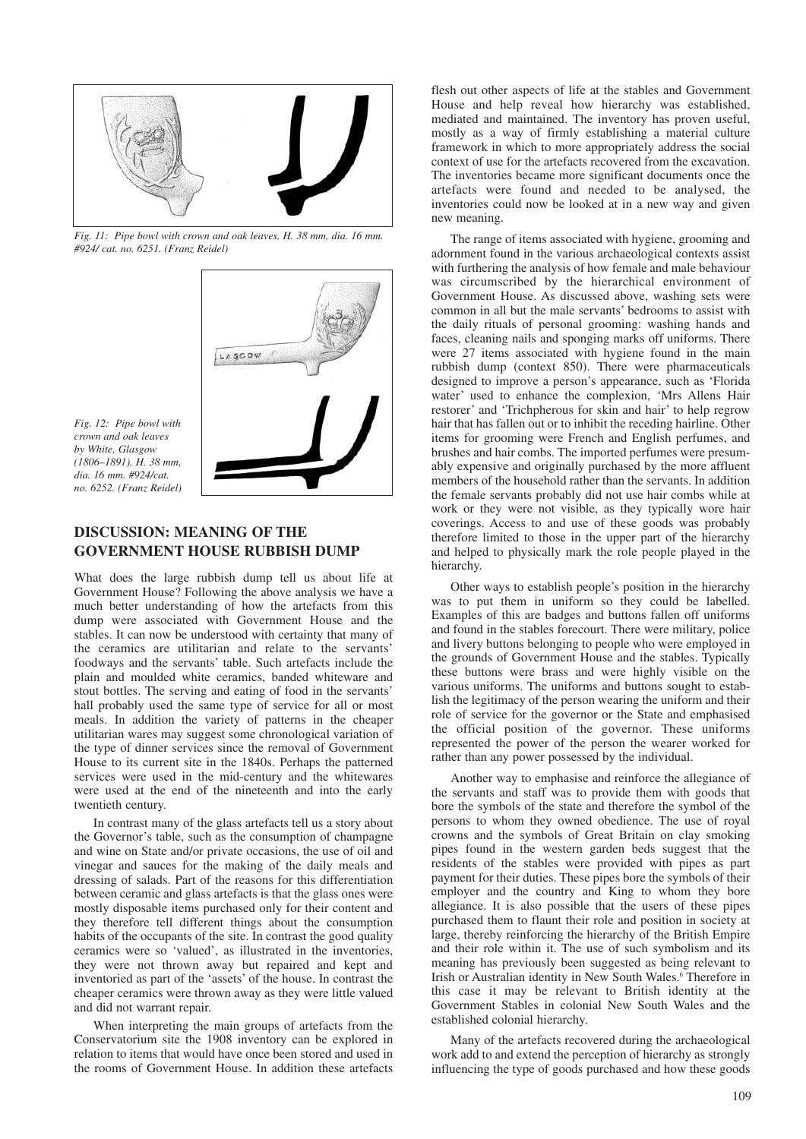

*Fig. 11: Pipe bowl with crown and oak leaves. H. 38 mm, dia. 16 mm. #924/ cat. no. 6251. (Franz Reidel)*



*Fig. 12: Pipe bowl with crown and oak leaves by White, Glasgow (1806–1891). H. 38 mm, dia. 16 mm. #924/cat. no. 6252. (Franz Reidel)*

# **DISCUSSION: MEANING OF THE GOVERNMENT HOUSE RUBBISH DUMP**

What does the large rubbish dump tell us about life at Government House? Following the above analysis we have a much better understanding of how the artefacts from this dump were associated with Government House and the stables. It can now be understood with certainty that many of the ceramics are utilitarian and relate to the servants' foodways and the servants' table. Such artefacts include the plain and moulded white ceramics, banded whiteware and stout bottles. The serving and eating of food in the servants' hall probably used the same type of service for all or most meals. In addition the variety of patterns in the cheaper utilitarian wares may suggest some chronological variation of the type of dinner services since the removal of Government House to its current site in the 1840s. Perhaps the patterned services were used in the mid-century and the whitewares were used at the end of the nineteenth and into the early twentieth century.

In contrast many of the glass artefacts tell us a story about the Governor's table, such as the consumption of champagne and wine on State and/or private occasions, the use of oil and vinegar and sauces for the making of the daily meals and dressing of salads. Part of the reasons for this differentiation between ceramic and glass artefacts is that the glass ones were mostly disposable items purchased only for their content and they therefore tell different things about the consumption habits of the occupants of the site. In contrast the good quality ceramics were so 'valued', as illustrated in the inventories, they were not thrown away but repaired and kept and inventoried as part of the 'assets' of the house. In contrast the cheaper ceramics were thrown away as they were little valued and did not warrant repair.

When interpreting the main groups of artefacts from the Conservatorium site the 1908 inventory can be explored in relation to items that would have once been stored and used in the rooms of Government House. In addition these artefacts

flesh out other aspects of life at the stables and Government House and help reveal how hierarchy was established, mediated and maintained. The inventory has proven useful, mostly as a way of firmly establishing a material culture framework in which to more appropriately address the social context of use for the artefacts recovered from the excavation. The inventories became more significant documents once the artefacts were found and needed to be analysed, the inventories could now be looked at in a new way and given new meaning.

The range of items associated with hygiene, grooming and adornment found in the various archaeological contexts assist with furthering the analysis of how female and male behaviour was circumscribed by the hierarchical environment of Government House. As discussed above, washing sets were common in all but the male servants' bedrooms to assist with the daily rituals of personal grooming: washing hands and faces, cleaning nails and sponging marks off uniforms. There were 27 items associated with hygiene found in the main rubbish dump (context 850). There were pharmaceuticals designed to improve a person's appearance, such as 'Florida water' used to enhance the complexion, 'Mrs Allens Hair restorer' and 'Trichpherous for skin and hair' to help regrow hair that has fallen out or to inhibit the receding hairline. Other items for grooming were French and English perfumes, and brushes and hair combs. The imported perfumes were presumably expensive and originally purchased by the more affluent members of the household rather than the servants. In addition the female servants probably did not use hair combs while at work or they were not visible, as they typically wore hair coverings. Access to and use of these goods was probably therefore limited to those in the upper part of the hierarchy and helped to physically mark the role people played in the hierarchy.

Other ways to establish people's position in the hierarchy was to put them in uniform so they could be labelled. Examples of this are badges and buttons fallen off uniforms and found in the stables forecourt. There were military, police and livery buttons belonging to people who were employed in the grounds of Government House and the stables. Typically these buttons were brass and were highly visible on the various uniforms. The uniforms and buttons sought to establish the legitimacy of the person wearing the uniform and their role of service for the governor or the State and emphasised the official position of the governor. These uniforms represented the power of the person the wearer worked for rather than any power possessed by the individual.

Another way to emphasise and reinforce the allegiance of the servants and staff was to provide them with goods that bore the symbols of the state and therefore the symbol of the persons to whom they owned obedience. The use of royal crowns and the symbols of Great Britain on clay smoking pipes found in the western garden beds suggest that the residents of the stables were provided with pipes as part payment for their duties. These pipes bore the symbols of their employer and the country and King to whom they bore allegiance. It is also possible that the users of these pipes purchased them to flaunt their role and position in society at large, thereby reinforcing the hierarchy of the British Empire and their role within it. The use of such symbolism and its meaning has previously been suggested as being relevant to Irish or Australian identity in New South Wales.<sup>6</sup> Therefore in this case it may be relevant to British identity at the Government Stables in colonial New South Wales and the established colonial hierarchy.

Many of the artefacts recovered during the archaeological work add to and extend the perception of hierarchy as strongly influencing the type of goods purchased and how these goods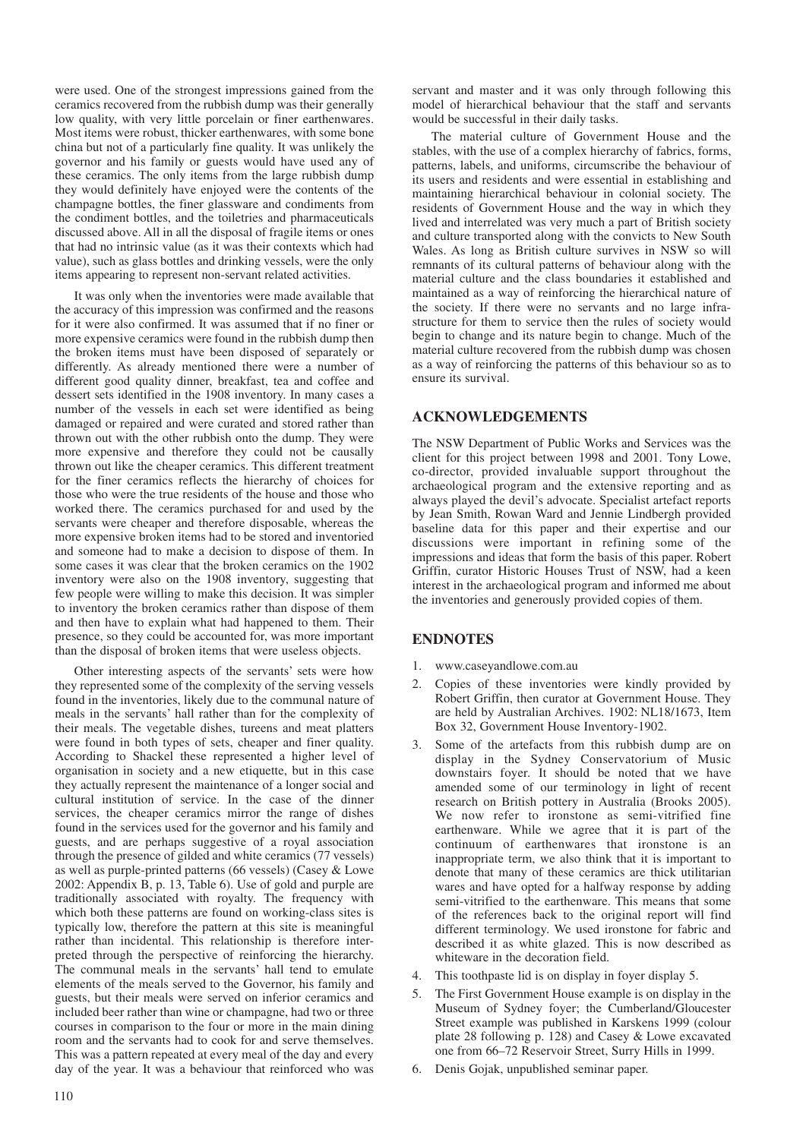were used. One of the strongest impressions gained from the ceramics recovered from the rubbish dump was their generally low quality, with very little porcelain or finer earthenwares. Most items were robust, thicker earthenwares, with some bone china but not of a particularly fine quality. It was unlikely the governor and his family or guests would have used any of these ceramics. The only items from the large rubbish dump they would definitely have enjoyed were the contents of the champagne bottles, the finer glassware and condiments from the condiment bottles, and the toiletries and pharmaceuticals discussed above. All in all the disposal of fragile items or ones that had no intrinsic value (as it was their contexts which had value), such as glass bottles and drinking vessels, were the only items appearing to represent non-servant related activities.

It was only when the inventories were made available that the accuracy of this impression was confirmed and the reasons for it were also confirmed. It was assumed that if no finer or more expensive ceramics were found in the rubbish dump then the broken items must have been disposed of separately or differently. As already mentioned there were a number of different good quality dinner, breakfast, tea and coffee and dessert sets identified in the 1908 inventory. In many cases a number of the vessels in each set were identified as being damaged or repaired and were curated and stored rather than thrown out with the other rubbish onto the dump. They were more expensive and therefore they could not be causally thrown out like the cheaper ceramics. This different treatment for the finer ceramics reflects the hierarchy of choices for those who were the true residents of the house and those who worked there. The ceramics purchased for and used by the servants were cheaper and therefore disposable, whereas the more expensive broken items had to be stored and inventoried and someone had to make a decision to dispose of them. In some cases it was clear that the broken ceramics on the 1902 inventory were also on the 1908 inventory, suggesting that few people were willing to make this decision. It was simpler to inventory the broken ceramics rather than dispose of them and then have to explain what had happened to them. Their presence, so they could be accounted for, was more important than the disposal of broken items that were useless objects.

Other interesting aspects of the servants' sets were how they represented some of the complexity of the serving vessels found in the inventories, likely due to the communal nature of meals in the servants' hall rather than for the complexity of their meals. The vegetable dishes, tureens and meat platters were found in both types of sets, cheaper and finer quality. According to Shackel these represented a higher level of organisation in society and a new etiquette, but in this case they actually represent the maintenance of a longer social and cultural institution of service. In the case of the dinner services, the cheaper ceramics mirror the range of dishes found in the services used for the governor and his family and guests, and are perhaps suggestive of a royal association through the presence of gilded and white ceramics (77 vessels) as well as purple-printed patterns (66 vessels) (Casey & Lowe 2002: Appendix B, p. 13, Table 6). Use of gold and purple are traditionally associated with royalty. The frequency with which both these patterns are found on working-class sites is typically low, therefore the pattern at this site is meaningful rather than incidental. This relationship is therefore interpreted through the perspective of reinforcing the hierarchy. The communal meals in the servants' hall tend to emulate elements of the meals served to the Governor, his family and guests, but their meals were served on inferior ceramics and included beer rather than wine or champagne, had two or three courses in comparison to the four or more in the main dining room and the servants had to cook for and serve themselves. This was a pattern repeated at every meal of the day and every day of the year. It was a behaviour that reinforced who was servant and master and it was only through following this model of hierarchical behaviour that the staff and servants would be successful in their daily tasks.

The material culture of Government House and the stables, with the use of a complex hierarchy of fabrics, forms, patterns, labels, and uniforms, circumscribe the behaviour of its users and residents and were essential in establishing and maintaining hierarchical behaviour in colonial society. The residents of Government House and the way in which they lived and interrelated was very much a part of British society and culture transported along with the convicts to New South Wales. As long as British culture survives in NSW so will remnants of its cultural patterns of behaviour along with the material culture and the class boundaries it established and maintained as a way of reinforcing the hierarchical nature of the society. If there were no servants and no large infrastructure for them to service then the rules of society would begin to change and its nature begin to change. Much of the material culture recovered from the rubbish dump was chosen as a way of reinforcing the patterns of this behaviour so as to ensure its survival.

# **ACKNOWLEDGEMENTS**

The NSW Department of Public Works and Services was the client for this project between 1998 and 2001. Tony Lowe, co-director, provided invaluable support throughout the archaeological program and the extensive reporting and as always played the devil's advocate. Specialist artefact reports by Jean Smith, Rowan Ward and Jennie Lindbergh provided baseline data for this paper and their expertise and our discussions were important in refining some of the impressions and ideas that form the basis of this paper. Robert Griffin, curator Historic Houses Trust of NSW, had a keen interest in the archaeological program and informed me about the inventories and generously provided copies of them.

# **ENDNOTES**

- 1. www.caseyandlowe.com.au
- 2. Copies of these inventories were kindly provided by Robert Griffin, then curator at Government House. They are held by Australian Archives. 1902: NL18/1673, Item Box 32, Government House Inventory-1902.
- Some of the artefacts from this rubbish dump are on display in the Sydney Conservatorium of Music downstairs foyer. It should be noted that we have amended some of our terminology in light of recent research on British pottery in Australia (Brooks 2005). We now refer to ironstone as semi-vitrified fine earthenware. While we agree that it is part of the continuum of earthenwares that ironstone is an inappropriate term, we also think that it is important to denote that many of these ceramics are thick utilitarian wares and have opted for a halfway response by adding semi-vitrified to the earthenware. This means that some of the references back to the original report will find different terminology. We used ironstone for fabric and described it as white glazed. This is now described as whiteware in the decoration field.
- 4. This toothpaste lid is on display in foyer display 5.
- 5. The First Government House example is on display in the Museum of Sydney foyer; the Cumberland/Gloucester Street example was published in Karskens 1999 (colour plate 28 following p. 128) and Casey & Lowe excavated one from 66–72 Reservoir Street, Surry Hills in 1999.
- 6. Denis Gojak, unpublished seminar paper.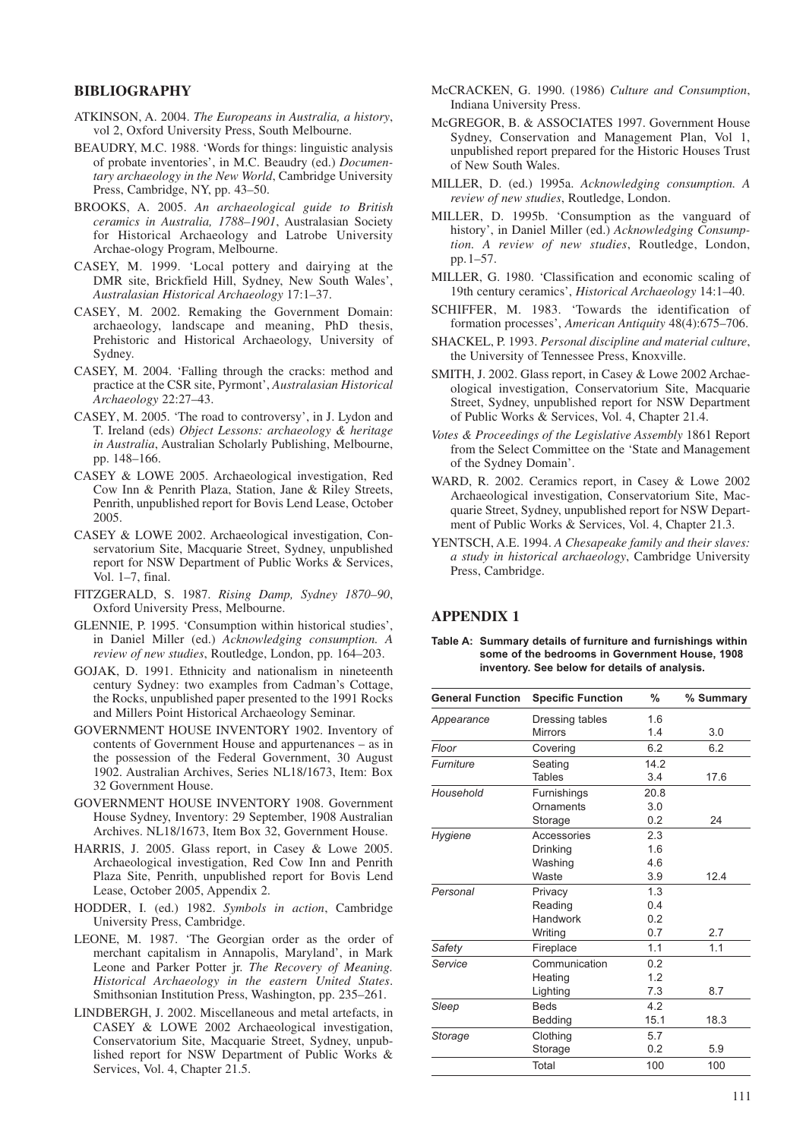# **BIBLIOGRAPHY**

- ATKINSON, A. 2004. *The Europeans in Australia, a history*, vol 2, Oxford University Press, South Melbourne.
- BEAUDRY, M.C. 1988. 'Words for things: linguistic analysis of probate inventories', in M.C. Beaudry (ed.) *Documentary archaeology in the New World*, Cambridge University Press, Cambridge, NY, pp. 43–50.
- BROOKS, A. 2005. *An archaeological guide to British ceramics in Australia, 1788–1901*, Australasian Society for Historical Archaeology and Latrobe University Archae-ology Program, Melbourne.
- CASEY, M. 1999. 'Local pottery and dairying at the DMR site, Brickfield Hill, Sydney, New South Wales', *Australasian Historical Archaeology* 17:1–37.
- CASEY, M. 2002. Remaking the Government Domain: archaeology, landscape and meaning, PhD thesis, Prehistoric and Historical Archaeology, University of Sydney.
- CASEY, M. 2004. 'Falling through the cracks: method and practice at the CSR site, Pyrmont', *Australasian Historical Archaeology* 22:27–43.
- CASEY, M. 2005. 'The road to controversy', in J. Lydon and T. Ireland (eds) *Object Lessons: archaeology & heritage in Australia*, Australian Scholarly Publishing, Melbourne, pp. 148–166.
- CASEY & LOWE 2005. Archaeological investigation, Red Cow Inn & Penrith Plaza, Station, Jane & Riley Streets, Penrith, unpublished report for Bovis Lend Lease, October 2005.
- CASEY & LOWE 2002. Archaeological investigation, Conservatorium Site, Macquarie Street, Sydney, unpublished report for NSW Department of Public Works & Services, Vol. 1–7, final.
- FITZGERALD, S. 1987. *Rising Damp, Sydney 1870–90*, Oxford University Press, Melbourne.
- GLENNIE, P. 1995. 'Consumption within historical studies', in Daniel Miller (ed.) *Acknowledging consumption. A review of new studies*, Routledge, London, pp. 164–203.
- GOJAK, D. 1991. Ethnicity and nationalism in nineteenth century Sydney: two examples from Cadman's Cottage, the Rocks, unpublished paper presented to the 1991 Rocks and Millers Point Historical Archaeology Seminar.
- GOVERNMENT HOUSE INVENTORY 1902. Inventory of contents of Government House and appurtenances – as in the possession of the Federal Government, 30 August 1902. Australian Archives, Series NL18/1673, Item: Box 32 Government House.
- GOVERNMENT HOUSE INVENTORY 1908. Government House Sydney, Inventory: 29 September, 1908 Australian Archives. NL18/1673, Item Box 32, Government House.
- HARRIS, J. 2005. Glass report, in Casey & Lowe 2005. Archaeological investigation, Red Cow Inn and Penrith Plaza Site, Penrith, unpublished report for Bovis Lend Lease, October 2005, Appendix 2.
- HODDER, I. (ed.) 1982. *Symbols in action*, Cambridge University Press, Cambridge.
- LEONE, M. 1987. 'The Georgian order as the order of merchant capitalism in Annapolis, Maryland', in Mark Leone and Parker Potter jr. *The Recovery of Meaning. Historical Archaeology in the eastern United States*. Smithsonian Institution Press, Washington, pp. 235–261.
- LINDBERGH, J. 2002. Miscellaneous and metal artefacts, in CASEY & LOWE 2002 Archaeological investigation, Conservatorium Site, Macquarie Street, Sydney, unpublished report for NSW Department of Public Works & Services, Vol. 4, Chapter 21.5.
- McCRACKEN, G. 1990. (1986) *Culture and Consumption*, Indiana University Press.
- McGREGOR, B. & ASSOCIATES 1997. Government House Sydney, Conservation and Management Plan, Vol 1, unpublished report prepared for the Historic Houses Trust of New South Wales.
- MILLER, D. (ed.) 1995a. *Acknowledging consumption. A review of new studies*, Routledge, London.
- MILLER, D. 1995b. 'Consumption as the vanguard of history', in Daniel Miller (ed.) *Acknowledging Consumption. A review of new studies*, Routledge, London, pp.1–57.
- MILLER, G. 1980. 'Classification and economic scaling of 19th century ceramics', *Historical Archaeology* 14:1–40.
- SCHIFFER, M. 1983. 'Towards the identification of formation processes', *American Antiquity* 48(4):675–706.
- SHACKEL, P. 1993. *Personal discipline and material culture*, the University of Tennessee Press, Knoxville.
- SMITH, J. 2002. Glass report, in Casey & Lowe 2002 Archaeological investigation, Conservatorium Site, Macquarie Street, Sydney, unpublished report for NSW Department of Public Works & Services, Vol. 4, Chapter 21.4.
- *Votes & Proceedings of the Legislative Assembly* 1861 Report from the Select Committee on the 'State and Management of the Sydney Domain'.
- WARD, R. 2002. Ceramics report, in Casey & Lowe 2002 Archaeological investigation, Conservatorium Site, Macquarie Street, Sydney, unpublished report for NSW Department of Public Works & Services, Vol. 4, Chapter 21.3.
- YENTSCH, A.E. 1994. *A Chesapeake family and their slaves: a study in historical archaeology*, Cambridge University Press, Cambridge.

# **APPENDIX 1**

**Table A: Summary details of furniture and furnishings within some of the bedrooms in Government House, 1908 inventory. See below for details of analysis.**

| <b>General Function</b> | <b>Specific Function</b> | %    | % Summary |  |  |  |  |
|-------------------------|--------------------------|------|-----------|--|--|--|--|
| Appearance              | Dressing tables          | 1.6  |           |  |  |  |  |
|                         | <b>Mirrors</b>           | 1.4  | 3.0       |  |  |  |  |
| Floor                   | Covering                 | 6.2  | 6.2       |  |  |  |  |
| Furniture               | Seating                  | 14.2 |           |  |  |  |  |
|                         | <b>Tables</b>            | 3.4  | 17.6      |  |  |  |  |
| Household               | Furnishings              | 20.8 |           |  |  |  |  |
|                         | Ornaments                | 3.0  |           |  |  |  |  |
|                         | Storage                  | 0.2  | 24        |  |  |  |  |
| Hygiene                 | Accessories              | 2.3  |           |  |  |  |  |
|                         | <b>Drinking</b>          | 1.6  |           |  |  |  |  |
|                         | Washing                  | 4.6  |           |  |  |  |  |
|                         | Waste                    | 3.9  | 12.4      |  |  |  |  |
| Personal                | Privacy                  | 1.3  |           |  |  |  |  |
|                         | Reading                  | 0.4  |           |  |  |  |  |
|                         | Handwork                 | 0.2  |           |  |  |  |  |
|                         | Writing                  | 0.7  | 2.7       |  |  |  |  |
| Safety                  | Fireplace                | 1.1  | 1.1       |  |  |  |  |
| Service                 | Communication            | 0.2  |           |  |  |  |  |
|                         | Heating                  | 1.2  |           |  |  |  |  |
|                         | Lighting                 | 7.3  | 8.7       |  |  |  |  |
| Sleep                   | <b>Beds</b>              | 4.2  |           |  |  |  |  |
|                         | Bedding                  | 15.1 | 18.3      |  |  |  |  |
| Storage                 | Clothing                 | 5.7  |           |  |  |  |  |
|                         | Storage                  | 0.2  | 5.9       |  |  |  |  |
|                         | 100                      | 100  |           |  |  |  |  |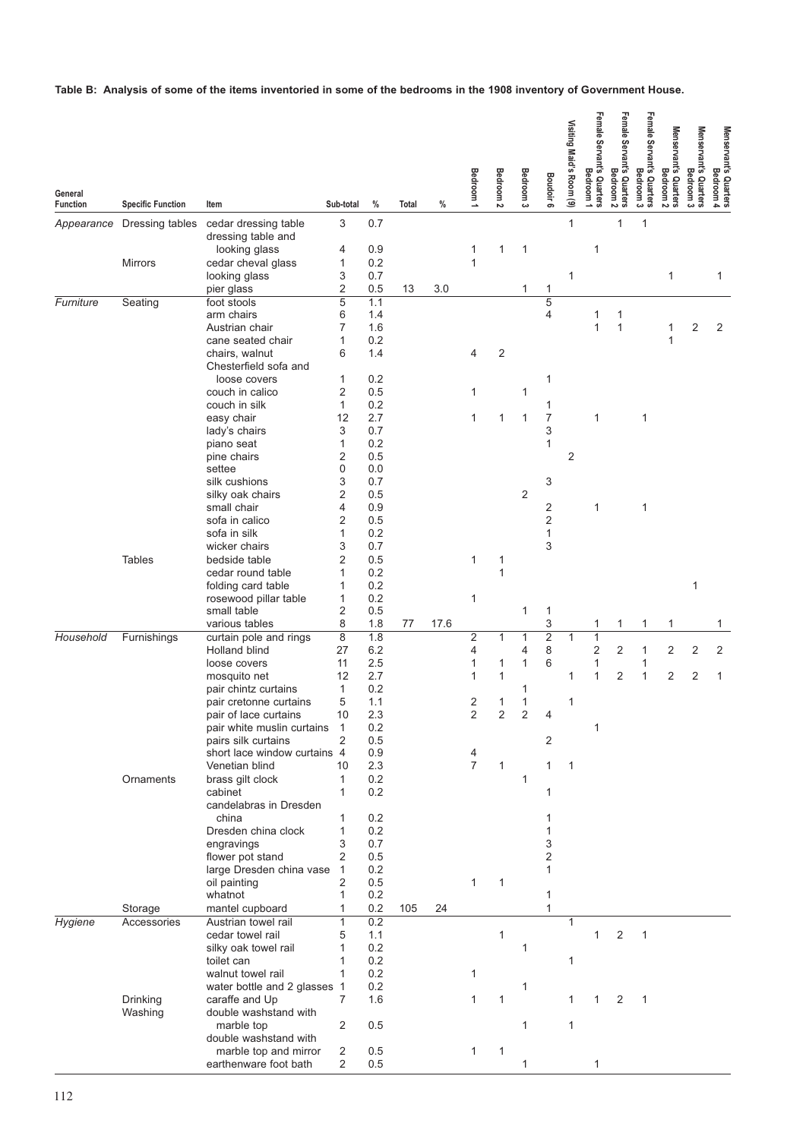**Table B: Analysis of some of the items inventoried in some of the bedrooms in the 1908 inventory of Government House.**

| General                       |                                             |                                                     |                      |             |       |      | Bedroom 1         | <b>Bedroom</b> | Bedroom <sub>3</sub> | <b>Boudoir 6</b>  | Visiting Maid's Room (9) | Female Servant's Quarters<br>Female Servant's Quarters | Female Servant's Quarters<br>Female Servant's Quarters | Female Servant's Quarters<br>Bedroom <sub>3</sub> | Menservant's Quarters<br>Menservant's Quarters | Menservant's Quarters<br>Bedroom 3 | Menservant's Quarters<br>Bedroom 4 |
|-------------------------------|---------------------------------------------|-----------------------------------------------------|----------------------|-------------|-------|------|-------------------|----------------|----------------------|-------------------|--------------------------|--------------------------------------------------------|--------------------------------------------------------|---------------------------------------------------|------------------------------------------------|------------------------------------|------------------------------------|
| <b>Function</b><br>Appearance | <b>Specific Function</b><br>Dressing tables | Item<br>cedar dressing table                        | Sub-total<br>3       | $\%$<br>0.7 | Total | %    |                   |                |                      |                   | 1                        |                                                        | 1                                                      | 1                                                 |                                                |                                    |                                    |
|                               |                                             | dressing table and                                  |                      |             |       |      |                   |                |                      |                   |                          |                                                        |                                                        |                                                   |                                                |                                    |                                    |
|                               | <b>Mirrors</b>                              | looking glass<br>cedar cheval glass                 | 4<br>1               | 0.9<br>0.2  |       |      | 1<br>$\mathbf{1}$ | 1              | 1                    |                   |                          | 1                                                      |                                                        |                                                   |                                                |                                    |                                    |
|                               |                                             | looking glass                                       | 3                    | 0.7         |       |      |                   |                |                      |                   | 1                        |                                                        |                                                        |                                                   | 1                                              |                                    | 1                                  |
|                               |                                             | pier glass                                          | 2                    | 0.5         | 13    | 3.0  |                   |                | 1                    | 1                 |                          |                                                        |                                                        |                                                   |                                                |                                    |                                    |
| Furniture                     | Seating                                     | foot stools<br>arm chairs                           | $\overline{5}$<br>6  | 1.1<br>1.4  |       |      |                   |                |                      | 5<br>4            |                          |                                                        | 1                                                      |                                                   |                                                |                                    |                                    |
|                               |                                             | Austrian chair                                      | 7                    | 1.6         |       |      |                   |                |                      |                   |                          | 1                                                      | 1                                                      |                                                   | 1                                              | 2                                  | 2                                  |
|                               |                                             | cane seated chair                                   | 1                    | 0.2         |       |      |                   |                |                      |                   |                          |                                                        |                                                        |                                                   | 1                                              |                                    |                                    |
|                               |                                             | chairs, walnut<br>Chesterfield sofa and             | 6                    | 1.4         |       |      | 4                 | $\overline{2}$ |                      |                   |                          |                                                        |                                                        |                                                   |                                                |                                    |                                    |
|                               |                                             | loose covers                                        | 1                    | 0.2         |       |      |                   |                |                      | 1                 |                          |                                                        |                                                        |                                                   |                                                |                                    |                                    |
|                               |                                             | couch in calico                                     | 2                    | 0.5         |       |      | 1                 |                | 1                    |                   |                          |                                                        |                                                        |                                                   |                                                |                                    |                                    |
|                               |                                             | couch in silk                                       | 1                    | 0.2         |       |      |                   |                |                      | 1                 |                          |                                                        |                                                        |                                                   |                                                |                                    |                                    |
|                               |                                             | easy chair<br>lady's chairs                         | 12<br>3              | 2.7<br>0.7  |       |      | 1                 | 1              | 1                    | 7<br>3            |                          | 1                                                      |                                                        | 1                                                 |                                                |                                    |                                    |
|                               |                                             | piano seat                                          | 1                    | 0.2         |       |      |                   |                |                      | $\mathbf{1}$      |                          |                                                        |                                                        |                                                   |                                                |                                    |                                    |
|                               |                                             | pine chairs                                         | 2                    | 0.5         |       |      |                   |                |                      |                   | 2                        |                                                        |                                                        |                                                   |                                                |                                    |                                    |
|                               |                                             | settee                                              | $\mathbf 0$          | 0.0         |       |      |                   |                |                      |                   |                          |                                                        |                                                        |                                                   |                                                |                                    |                                    |
|                               |                                             | silk cushions<br>silky oak chairs                   | 3<br>2               | 0.7<br>0.5  |       |      |                   |                | $\overline{2}$       | 3                 |                          |                                                        |                                                        |                                                   |                                                |                                    |                                    |
|                               |                                             | small chair                                         | 4                    | 0.9         |       |      |                   |                |                      | 2                 |                          | 1                                                      |                                                        | 1                                                 |                                                |                                    |                                    |
|                               |                                             | sofa in calico                                      | 2                    | 0.5         |       |      |                   |                |                      | $\overline{2}$    |                          |                                                        |                                                        |                                                   |                                                |                                    |                                    |
|                               |                                             | sofa in silk<br>wicker chairs                       | 1<br>3               | 0.2<br>0.7  |       |      |                   |                |                      | 1<br>3            |                          |                                                        |                                                        |                                                   |                                                |                                    |                                    |
|                               | <b>Tables</b>                               | bedside table                                       | $\overline{2}$       | 0.5         |       |      | 1                 | 1              |                      |                   |                          |                                                        |                                                        |                                                   |                                                |                                    |                                    |
|                               |                                             | cedar round table                                   | 1                    | 0.2         |       |      |                   | 1              |                      |                   |                          |                                                        |                                                        |                                                   |                                                |                                    |                                    |
|                               |                                             | folding card table                                  | 1                    | 0.2         |       |      |                   |                |                      |                   |                          |                                                        |                                                        |                                                   |                                                | 1                                  |                                    |
|                               |                                             | rosewood pillar table<br>small table                | 1<br>2               | 0.2<br>0.5  |       |      | 1                 |                | 1                    |                   |                          |                                                        |                                                        |                                                   |                                                |                                    |                                    |
|                               |                                             | various tables                                      | 8                    | 1.8         | 77    | 17.6 |                   |                |                      | 1<br>3            |                          | 1                                                      | 1                                                      | 1                                                 | 1                                              |                                    | 1                                  |
| Household                     | Furnishings                                 | curtain pole and rings                              | 8                    | 1.8         |       |      | $\overline{2}$    | 1              | 1                    | $\overline{2}$    | 1                        | 1                                                      |                                                        |                                                   |                                                |                                    |                                    |
|                               |                                             | Holland blind<br>loose covers                       | 27<br>11             | 6.2<br>2.5  |       |      | 4<br>1            | 1              | 4<br>1               | 8<br>6            |                          | $\overline{2}$<br>1                                    | 2                                                      | 1<br>1                                            | 2                                              | 2                                  | 2                                  |
|                               |                                             | mosquito net                                        | 12                   | 2.7         |       |      | 1                 | 1              |                      |                   | 1                        | 1                                                      | $\mathbf 2$                                            | 1                                                 | 2                                              | $\overline{c}$                     | $\mathbf{1}$                       |
|                               |                                             | pair chintz curtains                                | 1                    | 0.2         |       |      |                   |                | 1                    |                   |                          |                                                        |                                                        |                                                   |                                                |                                    |                                    |
|                               |                                             | pair cretonne curtains                              | 5                    | 1.1         |       |      | 2                 | 1              | 1                    |                   | 1                        |                                                        |                                                        |                                                   |                                                |                                    |                                    |
|                               |                                             | pair of lace curtains<br>pair white muslin curtains | 10<br>$\overline{1}$ | 2.3<br>0.2  |       |      | $\overline{2}$    | $\overline{2}$ | $\overline{2}$       | 4                 |                          | 1                                                      |                                                        |                                                   |                                                |                                    |                                    |
|                               |                                             | pairs silk curtains                                 | 2                    | 0.5         |       |      |                   |                |                      | 2                 |                          |                                                        |                                                        |                                                   |                                                |                                    |                                    |
|                               |                                             | short lace window curtains 4                        |                      | 0.9         |       |      | 4                 |                |                      |                   |                          |                                                        |                                                        |                                                   |                                                |                                    |                                    |
|                               |                                             | Venetian blind                                      | 10                   | 2.3         |       |      | 7                 | 1              |                      | 1                 | 1                        |                                                        |                                                        |                                                   |                                                |                                    |                                    |
|                               | Ornaments                                   | brass gilt clock<br>cabinet                         | 1<br>1               | 0.2<br>0.2  |       |      |                   |                | 1                    | 1                 |                          |                                                        |                                                        |                                                   |                                                |                                    |                                    |
|                               |                                             | candelabras in Dresden                              |                      |             |       |      |                   |                |                      |                   |                          |                                                        |                                                        |                                                   |                                                |                                    |                                    |
|                               |                                             | china                                               | 1                    | 0.2         |       |      |                   |                |                      | 1                 |                          |                                                        |                                                        |                                                   |                                                |                                    |                                    |
|                               |                                             | Dresden china clock                                 | 1                    | 0.2         |       |      |                   |                |                      | 1                 |                          |                                                        |                                                        |                                                   |                                                |                                    |                                    |
|                               |                                             | engravings<br>flower pot stand                      | 3<br>$\overline{2}$  | 0.7<br>0.5  |       |      |                   |                |                      | 3<br>2            |                          |                                                        |                                                        |                                                   |                                                |                                    |                                    |
|                               |                                             | large Dresden china vase                            | 1                    | 0.2         |       |      |                   |                |                      | $\mathbf{1}$      |                          |                                                        |                                                        |                                                   |                                                |                                    |                                    |
|                               |                                             | oil painting                                        | 2                    | 0.5         |       |      | 1                 | 1              |                      |                   |                          |                                                        |                                                        |                                                   |                                                |                                    |                                    |
|                               |                                             | whatnot                                             | 1                    | 0.2         |       |      |                   |                |                      | 1<br>$\mathbf{1}$ |                          |                                                        |                                                        |                                                   |                                                |                                    |                                    |
| Hygiene                       | Storage<br>Accessories                      | mantel cupboard<br>Austrian towel rail              | 1<br>$\mathbf{1}$    | 0.2<br>0.2  | 105   | 24   |                   |                |                      |                   | $\mathbf{1}$             |                                                        |                                                        |                                                   |                                                |                                    |                                    |
|                               |                                             | cedar towel rail                                    | 5                    | 1.1         |       |      |                   | 1              |                      |                   |                          | $\mathbf{1}$                                           | $\overline{2}$                                         | $\mathbf{1}$                                      |                                                |                                    |                                    |
|                               |                                             | silky oak towel rail                                | 1                    | 0.2         |       |      |                   |                | 1                    |                   |                          |                                                        |                                                        |                                                   |                                                |                                    |                                    |
|                               |                                             | toilet can                                          | 1                    | 0.2<br>0.2  |       |      |                   |                |                      |                   | 1                        |                                                        |                                                        |                                                   |                                                |                                    |                                    |
|                               |                                             | walnut towel rail<br>water bottle and 2 glasses 1   | 1                    | 0.2         |       |      | 1                 |                | 1                    |                   |                          |                                                        |                                                        |                                                   |                                                |                                    |                                    |
|                               | Drinking                                    | caraffe and Up                                      | 7                    | 1.6         |       |      | $\mathbf{1}$      | 1              |                      |                   | 1                        | $\mathbf{1}$                                           | $\overline{2}$                                         | $\mathbf{1}$                                      |                                                |                                    |                                    |
|                               | Washing                                     | double washstand with                               |                      |             |       |      |                   |                |                      |                   |                          |                                                        |                                                        |                                                   |                                                |                                    |                                    |
|                               |                                             | marble top                                          | $\overline{2}$       | 0.5         |       |      |                   |                | 1                    |                   | 1                        |                                                        |                                                        |                                                   |                                                |                                    |                                    |
|                               |                                             | double washstand with<br>marble top and mirror      | $\overline{c}$       | 0.5         |       |      | $\mathbf{1}$      | $\mathbf{1}$   |                      |                   |                          |                                                        |                                                        |                                                   |                                                |                                    |                                    |
|                               |                                             | earthenware foot bath                               | 2                    | 0.5         |       |      |                   |                | 1                    |                   |                          | 1                                                      |                                                        |                                                   |                                                |                                    |                                    |